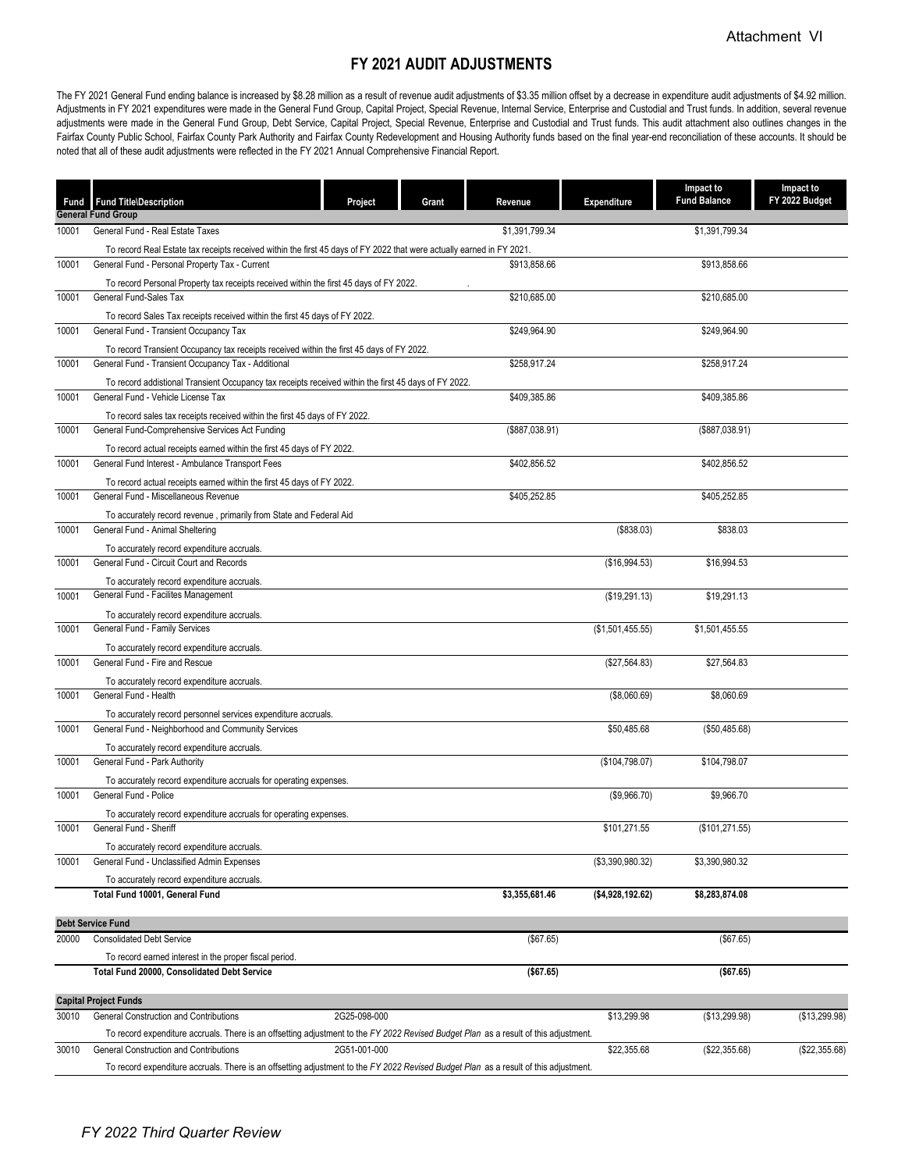## **FY 2021 AUDIT ADJUSTMENTS**

The FY 2021 General Fund ending balance is increased by \$8.28 million as a result of revenue audit adjustments of \$3.35 million offset by a decrease in expenditure audit adjustments of \$4.92 million. Adjustments in FY 2021 expenditures were made in the General Fund Group, Capital Project, Special Revenue, Internal Service, Enterprise and Custodial and Trust funds. In addition, several revenue adjustments were made in the General Fund Group, Debt Service, Capital Project, Special Revenue, Enterprise and Custodial and Trust funds. This audit attachment also outlines changes in the Fairfax County Public School, Fairfax County Park Authority and Fairfax County Redevelopment and Housing Authority funds based on the final year-end reconciliation of these accounts. It should be noted that all of these audit adjustments were reflected in the FY 2021 Annual Comprehensive Financial Report.

| <b>General Fund Group</b><br>\$1,391,799.34<br>General Fund - Real Estate Taxes<br>\$1,391,799.34<br>10001<br>To record Real Estate tax receipts received within the first 45 days of FY 2022 that were actually earned in FY 2021.<br>10001<br>General Fund - Personal Property Tax - Current<br>\$913,858.66<br>\$913,858.66<br>To record Personal Property tax receipts received within the first 45 days of FY 2022.<br>General Fund-Sales Tax<br>10001<br>\$210,685.00<br>\$210,685.00<br>To record Sales Tax receipts received within the first 45 days of FY 2022.<br>General Fund - Transient Occupancy Tax<br>\$249,964.90<br>\$249,964.90<br>10001<br>To record Transient Occupancy tax receipts received within the first 45 days of FY 2022.<br>General Fund - Transient Occupancy Tax - Additional<br>\$258,917.24<br>\$258,917.24<br>10001<br>To record addistional Transient Occupancy tax receipts received within the first 45 days of FY 2022.<br>General Fund - Vehicle License Tax<br>10001<br>\$409,385.86<br>\$409,385.86<br>To record sales tax receipts received within the first 45 days of FY 2022.<br>General Fund-Comprehensive Services Act Funding<br>(\$887,038.91)<br>(\$887,038.91)<br>10001<br>To record actual receipts earned within the first 45 days of FY 2022.<br>General Fund Interest - Ambulance Transport Fees<br>\$402,856.52<br>\$402,856.52<br>10001<br>To record actual receipts earned within the first 45 days of FY 2022.<br>\$405,252.85<br>General Fund - Miscellaneous Revenue<br>\$405,252.85<br>10001<br>To accurately record revenue, primarily from State and Federal Aid<br>(\$838.03)<br>10001<br>General Fund - Animal Sheltering<br>\$838.03<br>To accurately record expenditure accruals.<br>General Fund - Circuit Court and Records<br>(\$16,994.53)<br>10001<br>\$16,994.53<br>To accurately record expenditure accruals.<br>General Fund - Facilites Management<br>(\$19,291.13)<br>\$19,291.13<br>10001<br>To accurately record expenditure accruals.<br>General Fund - Family Services<br>10001<br>(\$1,501,455.55)<br>\$1,501,455.55<br>To accurately record expenditure accruals.<br>General Fund - Fire and Rescue<br>10001<br>(\$27,564.83)<br>\$27,564.83<br>To accurately record expenditure accruals.<br>General Fund - Health<br>10001<br>(\$8,060.69)<br>\$8,060.69<br>To accurately record personnel services expenditure accruals.<br>General Fund - Neighborhood and Community Services<br>\$50,485.68<br>(\$50,485.68)<br>10001<br>To accurately record expenditure accruals.<br>(\$104,798.07)<br>10001<br>General Fund - Park Authority<br>\$104,798.07<br>To accurately record expenditure accruals for operating expenses.<br>General Fund - Police<br>(\$9,966.70)<br>10001<br>\$9,966.70<br>To accurately record expenditure accruals for operating expenses.<br>\$101,271.55<br>(\$101, 271.55)<br>10001<br>General Fund - Sheriff<br>To accurately record expenditure accruals.<br>(\$3,390,980.32)<br>10001<br>General Fund - Unclassified Admin Expenses<br>\$3,390,980.32<br>To accurately record expenditure accruals.<br>\$3,355,681.46<br>Total Fund 10001, General Fund<br>( \$4,928,192.62)<br>\$8,283,874.08<br><b>Debt Service Fund</b><br>Consolidated Debt Service<br>20000<br>(\$67.65)<br>(\$67.65)<br>To record earned interest in the proper fiscal period.<br>Total Fund 20000, Consolidated Debt Service<br>(\$67.65)<br>( \$67.65)<br><b>Capital Project Funds</b><br>2G25-098-000<br>\$13,299.98<br>General Construction and Contributions<br>(\$13,299.98)<br>(\$13,299.98)<br>30010<br>To record expenditure accruals. There is an offsetting adjustment to the FY 2022 Revised Budget Plan as a result of this adjustment.<br>General Construction and Contributions<br>2G51-001-000<br>30010<br>\$22,355.68<br>(\$22,355.68)<br>(\$22,355.68)<br>To record expenditure accruals. There is an offsetting adjustment to the FY 2022 Revised Budget Plan as a result of this adjustment. | Fund Fund Title\Description | Project | Grant | Revenue | <b>Expenditure</b> | Impact to<br><b>Fund Balance</b> | Impact to<br>FY 2022 Budget |
|---------------------------------------------------------------------------------------------------------------------------------------------------------------------------------------------------------------------------------------------------------------------------------------------------------------------------------------------------------------------------------------------------------------------------------------------------------------------------------------------------------------------------------------------------------------------------------------------------------------------------------------------------------------------------------------------------------------------------------------------------------------------------------------------------------------------------------------------------------------------------------------------------------------------------------------------------------------------------------------------------------------------------------------------------------------------------------------------------------------------------------------------------------------------------------------------------------------------------------------------------------------------------------------------------------------------------------------------------------------------------------------------------------------------------------------------------------------------------------------------------------------------------------------------------------------------------------------------------------------------------------------------------------------------------------------------------------------------------------------------------------------------------------------------------------------------------------------------------------------------------------------------------------------------------------------------------------------------------------------------------------------------------------------------------------------------------------------------------------------------------------------------------------------------------------------------------------------------------------------------------------------------------------------------------------------------------------------------------------------------------------------------------------------------------------------------------------------------------------------------------------------------------------------------------------------------------------------------------------------------------------------------------------------------------------------------------------------------------------------------------------------------------------------------------------------------------------------------------------------------------------------------------------------------------------------------------------------------------------------------------------------------------------------------------------------------------------------------------------------------------------------------------------------------------------------------------------------------------------------------------------------------------------------------------------------------------------------------------------------------------------------------------------------------------------------------------------------------------------------------------------------------------------------------------------------------------------------------------------------------------------------------------------------------------------------------------------------------------------------------------------------------------------------------------------------------------------------------------------------------------------------------------------------------------------------------------------------------------------------------------------|-----------------------------|---------|-------|---------|--------------------|----------------------------------|-----------------------------|
|                                                                                                                                                                                                                                                                                                                                                                                                                                                                                                                                                                                                                                                                                                                                                                                                                                                                                                                                                                                                                                                                                                                                                                                                                                                                                                                                                                                                                                                                                                                                                                                                                                                                                                                                                                                                                                                                                                                                                                                                                                                                                                                                                                                                                                                                                                                                                                                                                                                                                                                                                                                                                                                                                                                                                                                                                                                                                                                                                                                                                                                                                                                                                                                                                                                                                                                                                                                                                                                                                                                                                                                                                                                                                                                                                                                                                                                                                                                                                                                                         |                             |         |       |         |                    |                                  |                             |
|                                                                                                                                                                                                                                                                                                                                                                                                                                                                                                                                                                                                                                                                                                                                                                                                                                                                                                                                                                                                                                                                                                                                                                                                                                                                                                                                                                                                                                                                                                                                                                                                                                                                                                                                                                                                                                                                                                                                                                                                                                                                                                                                                                                                                                                                                                                                                                                                                                                                                                                                                                                                                                                                                                                                                                                                                                                                                                                                                                                                                                                                                                                                                                                                                                                                                                                                                                                                                                                                                                                                                                                                                                                                                                                                                                                                                                                                                                                                                                                                         |                             |         |       |         |                    |                                  |                             |
|                                                                                                                                                                                                                                                                                                                                                                                                                                                                                                                                                                                                                                                                                                                                                                                                                                                                                                                                                                                                                                                                                                                                                                                                                                                                                                                                                                                                                                                                                                                                                                                                                                                                                                                                                                                                                                                                                                                                                                                                                                                                                                                                                                                                                                                                                                                                                                                                                                                                                                                                                                                                                                                                                                                                                                                                                                                                                                                                                                                                                                                                                                                                                                                                                                                                                                                                                                                                                                                                                                                                                                                                                                                                                                                                                                                                                                                                                                                                                                                                         |                             |         |       |         |                    |                                  |                             |
|                                                                                                                                                                                                                                                                                                                                                                                                                                                                                                                                                                                                                                                                                                                                                                                                                                                                                                                                                                                                                                                                                                                                                                                                                                                                                                                                                                                                                                                                                                                                                                                                                                                                                                                                                                                                                                                                                                                                                                                                                                                                                                                                                                                                                                                                                                                                                                                                                                                                                                                                                                                                                                                                                                                                                                                                                                                                                                                                                                                                                                                                                                                                                                                                                                                                                                                                                                                                                                                                                                                                                                                                                                                                                                                                                                                                                                                                                                                                                                                                         |                             |         |       |         |                    |                                  |                             |
|                                                                                                                                                                                                                                                                                                                                                                                                                                                                                                                                                                                                                                                                                                                                                                                                                                                                                                                                                                                                                                                                                                                                                                                                                                                                                                                                                                                                                                                                                                                                                                                                                                                                                                                                                                                                                                                                                                                                                                                                                                                                                                                                                                                                                                                                                                                                                                                                                                                                                                                                                                                                                                                                                                                                                                                                                                                                                                                                                                                                                                                                                                                                                                                                                                                                                                                                                                                                                                                                                                                                                                                                                                                                                                                                                                                                                                                                                                                                                                                                         |                             |         |       |         |                    |                                  |                             |
|                                                                                                                                                                                                                                                                                                                                                                                                                                                                                                                                                                                                                                                                                                                                                                                                                                                                                                                                                                                                                                                                                                                                                                                                                                                                                                                                                                                                                                                                                                                                                                                                                                                                                                                                                                                                                                                                                                                                                                                                                                                                                                                                                                                                                                                                                                                                                                                                                                                                                                                                                                                                                                                                                                                                                                                                                                                                                                                                                                                                                                                                                                                                                                                                                                                                                                                                                                                                                                                                                                                                                                                                                                                                                                                                                                                                                                                                                                                                                                                                         |                             |         |       |         |                    |                                  |                             |
|                                                                                                                                                                                                                                                                                                                                                                                                                                                                                                                                                                                                                                                                                                                                                                                                                                                                                                                                                                                                                                                                                                                                                                                                                                                                                                                                                                                                                                                                                                                                                                                                                                                                                                                                                                                                                                                                                                                                                                                                                                                                                                                                                                                                                                                                                                                                                                                                                                                                                                                                                                                                                                                                                                                                                                                                                                                                                                                                                                                                                                                                                                                                                                                                                                                                                                                                                                                                                                                                                                                                                                                                                                                                                                                                                                                                                                                                                                                                                                                                         |                             |         |       |         |                    |                                  |                             |
|                                                                                                                                                                                                                                                                                                                                                                                                                                                                                                                                                                                                                                                                                                                                                                                                                                                                                                                                                                                                                                                                                                                                                                                                                                                                                                                                                                                                                                                                                                                                                                                                                                                                                                                                                                                                                                                                                                                                                                                                                                                                                                                                                                                                                                                                                                                                                                                                                                                                                                                                                                                                                                                                                                                                                                                                                                                                                                                                                                                                                                                                                                                                                                                                                                                                                                                                                                                                                                                                                                                                                                                                                                                                                                                                                                                                                                                                                                                                                                                                         |                             |         |       |         |                    |                                  |                             |
|                                                                                                                                                                                                                                                                                                                                                                                                                                                                                                                                                                                                                                                                                                                                                                                                                                                                                                                                                                                                                                                                                                                                                                                                                                                                                                                                                                                                                                                                                                                                                                                                                                                                                                                                                                                                                                                                                                                                                                                                                                                                                                                                                                                                                                                                                                                                                                                                                                                                                                                                                                                                                                                                                                                                                                                                                                                                                                                                                                                                                                                                                                                                                                                                                                                                                                                                                                                                                                                                                                                                                                                                                                                                                                                                                                                                                                                                                                                                                                                                         |                             |         |       |         |                    |                                  |                             |
|                                                                                                                                                                                                                                                                                                                                                                                                                                                                                                                                                                                                                                                                                                                                                                                                                                                                                                                                                                                                                                                                                                                                                                                                                                                                                                                                                                                                                                                                                                                                                                                                                                                                                                                                                                                                                                                                                                                                                                                                                                                                                                                                                                                                                                                                                                                                                                                                                                                                                                                                                                                                                                                                                                                                                                                                                                                                                                                                                                                                                                                                                                                                                                                                                                                                                                                                                                                                                                                                                                                                                                                                                                                                                                                                                                                                                                                                                                                                                                                                         |                             |         |       |         |                    |                                  |                             |
|                                                                                                                                                                                                                                                                                                                                                                                                                                                                                                                                                                                                                                                                                                                                                                                                                                                                                                                                                                                                                                                                                                                                                                                                                                                                                                                                                                                                                                                                                                                                                                                                                                                                                                                                                                                                                                                                                                                                                                                                                                                                                                                                                                                                                                                                                                                                                                                                                                                                                                                                                                                                                                                                                                                                                                                                                                                                                                                                                                                                                                                                                                                                                                                                                                                                                                                                                                                                                                                                                                                                                                                                                                                                                                                                                                                                                                                                                                                                                                                                         |                             |         |       |         |                    |                                  |                             |
|                                                                                                                                                                                                                                                                                                                                                                                                                                                                                                                                                                                                                                                                                                                                                                                                                                                                                                                                                                                                                                                                                                                                                                                                                                                                                                                                                                                                                                                                                                                                                                                                                                                                                                                                                                                                                                                                                                                                                                                                                                                                                                                                                                                                                                                                                                                                                                                                                                                                                                                                                                                                                                                                                                                                                                                                                                                                                                                                                                                                                                                                                                                                                                                                                                                                                                                                                                                                                                                                                                                                                                                                                                                                                                                                                                                                                                                                                                                                                                                                         |                             |         |       |         |                    |                                  |                             |
|                                                                                                                                                                                                                                                                                                                                                                                                                                                                                                                                                                                                                                                                                                                                                                                                                                                                                                                                                                                                                                                                                                                                                                                                                                                                                                                                                                                                                                                                                                                                                                                                                                                                                                                                                                                                                                                                                                                                                                                                                                                                                                                                                                                                                                                                                                                                                                                                                                                                                                                                                                                                                                                                                                                                                                                                                                                                                                                                                                                                                                                                                                                                                                                                                                                                                                                                                                                                                                                                                                                                                                                                                                                                                                                                                                                                                                                                                                                                                                                                         |                             |         |       |         |                    |                                  |                             |
|                                                                                                                                                                                                                                                                                                                                                                                                                                                                                                                                                                                                                                                                                                                                                                                                                                                                                                                                                                                                                                                                                                                                                                                                                                                                                                                                                                                                                                                                                                                                                                                                                                                                                                                                                                                                                                                                                                                                                                                                                                                                                                                                                                                                                                                                                                                                                                                                                                                                                                                                                                                                                                                                                                                                                                                                                                                                                                                                                                                                                                                                                                                                                                                                                                                                                                                                                                                                                                                                                                                                                                                                                                                                                                                                                                                                                                                                                                                                                                                                         |                             |         |       |         |                    |                                  |                             |
|                                                                                                                                                                                                                                                                                                                                                                                                                                                                                                                                                                                                                                                                                                                                                                                                                                                                                                                                                                                                                                                                                                                                                                                                                                                                                                                                                                                                                                                                                                                                                                                                                                                                                                                                                                                                                                                                                                                                                                                                                                                                                                                                                                                                                                                                                                                                                                                                                                                                                                                                                                                                                                                                                                                                                                                                                                                                                                                                                                                                                                                                                                                                                                                                                                                                                                                                                                                                                                                                                                                                                                                                                                                                                                                                                                                                                                                                                                                                                                                                         |                             |         |       |         |                    |                                  |                             |
|                                                                                                                                                                                                                                                                                                                                                                                                                                                                                                                                                                                                                                                                                                                                                                                                                                                                                                                                                                                                                                                                                                                                                                                                                                                                                                                                                                                                                                                                                                                                                                                                                                                                                                                                                                                                                                                                                                                                                                                                                                                                                                                                                                                                                                                                                                                                                                                                                                                                                                                                                                                                                                                                                                                                                                                                                                                                                                                                                                                                                                                                                                                                                                                                                                                                                                                                                                                                                                                                                                                                                                                                                                                                                                                                                                                                                                                                                                                                                                                                         |                             |         |       |         |                    |                                  |                             |
|                                                                                                                                                                                                                                                                                                                                                                                                                                                                                                                                                                                                                                                                                                                                                                                                                                                                                                                                                                                                                                                                                                                                                                                                                                                                                                                                                                                                                                                                                                                                                                                                                                                                                                                                                                                                                                                                                                                                                                                                                                                                                                                                                                                                                                                                                                                                                                                                                                                                                                                                                                                                                                                                                                                                                                                                                                                                                                                                                                                                                                                                                                                                                                                                                                                                                                                                                                                                                                                                                                                                                                                                                                                                                                                                                                                                                                                                                                                                                                                                         |                             |         |       |         |                    |                                  |                             |
|                                                                                                                                                                                                                                                                                                                                                                                                                                                                                                                                                                                                                                                                                                                                                                                                                                                                                                                                                                                                                                                                                                                                                                                                                                                                                                                                                                                                                                                                                                                                                                                                                                                                                                                                                                                                                                                                                                                                                                                                                                                                                                                                                                                                                                                                                                                                                                                                                                                                                                                                                                                                                                                                                                                                                                                                                                                                                                                                                                                                                                                                                                                                                                                                                                                                                                                                                                                                                                                                                                                                                                                                                                                                                                                                                                                                                                                                                                                                                                                                         |                             |         |       |         |                    |                                  |                             |
|                                                                                                                                                                                                                                                                                                                                                                                                                                                                                                                                                                                                                                                                                                                                                                                                                                                                                                                                                                                                                                                                                                                                                                                                                                                                                                                                                                                                                                                                                                                                                                                                                                                                                                                                                                                                                                                                                                                                                                                                                                                                                                                                                                                                                                                                                                                                                                                                                                                                                                                                                                                                                                                                                                                                                                                                                                                                                                                                                                                                                                                                                                                                                                                                                                                                                                                                                                                                                                                                                                                                                                                                                                                                                                                                                                                                                                                                                                                                                                                                         |                             |         |       |         |                    |                                  |                             |
|                                                                                                                                                                                                                                                                                                                                                                                                                                                                                                                                                                                                                                                                                                                                                                                                                                                                                                                                                                                                                                                                                                                                                                                                                                                                                                                                                                                                                                                                                                                                                                                                                                                                                                                                                                                                                                                                                                                                                                                                                                                                                                                                                                                                                                                                                                                                                                                                                                                                                                                                                                                                                                                                                                                                                                                                                                                                                                                                                                                                                                                                                                                                                                                                                                                                                                                                                                                                                                                                                                                                                                                                                                                                                                                                                                                                                                                                                                                                                                                                         |                             |         |       |         |                    |                                  |                             |
|                                                                                                                                                                                                                                                                                                                                                                                                                                                                                                                                                                                                                                                                                                                                                                                                                                                                                                                                                                                                                                                                                                                                                                                                                                                                                                                                                                                                                                                                                                                                                                                                                                                                                                                                                                                                                                                                                                                                                                                                                                                                                                                                                                                                                                                                                                                                                                                                                                                                                                                                                                                                                                                                                                                                                                                                                                                                                                                                                                                                                                                                                                                                                                                                                                                                                                                                                                                                                                                                                                                                                                                                                                                                                                                                                                                                                                                                                                                                                                                                         |                             |         |       |         |                    |                                  |                             |
|                                                                                                                                                                                                                                                                                                                                                                                                                                                                                                                                                                                                                                                                                                                                                                                                                                                                                                                                                                                                                                                                                                                                                                                                                                                                                                                                                                                                                                                                                                                                                                                                                                                                                                                                                                                                                                                                                                                                                                                                                                                                                                                                                                                                                                                                                                                                                                                                                                                                                                                                                                                                                                                                                                                                                                                                                                                                                                                                                                                                                                                                                                                                                                                                                                                                                                                                                                                                                                                                                                                                                                                                                                                                                                                                                                                                                                                                                                                                                                                                         |                             |         |       |         |                    |                                  |                             |
|                                                                                                                                                                                                                                                                                                                                                                                                                                                                                                                                                                                                                                                                                                                                                                                                                                                                                                                                                                                                                                                                                                                                                                                                                                                                                                                                                                                                                                                                                                                                                                                                                                                                                                                                                                                                                                                                                                                                                                                                                                                                                                                                                                                                                                                                                                                                                                                                                                                                                                                                                                                                                                                                                                                                                                                                                                                                                                                                                                                                                                                                                                                                                                                                                                                                                                                                                                                                                                                                                                                                                                                                                                                                                                                                                                                                                                                                                                                                                                                                         |                             |         |       |         |                    |                                  |                             |
|                                                                                                                                                                                                                                                                                                                                                                                                                                                                                                                                                                                                                                                                                                                                                                                                                                                                                                                                                                                                                                                                                                                                                                                                                                                                                                                                                                                                                                                                                                                                                                                                                                                                                                                                                                                                                                                                                                                                                                                                                                                                                                                                                                                                                                                                                                                                                                                                                                                                                                                                                                                                                                                                                                                                                                                                                                                                                                                                                                                                                                                                                                                                                                                                                                                                                                                                                                                                                                                                                                                                                                                                                                                                                                                                                                                                                                                                                                                                                                                                         |                             |         |       |         |                    |                                  |                             |
|                                                                                                                                                                                                                                                                                                                                                                                                                                                                                                                                                                                                                                                                                                                                                                                                                                                                                                                                                                                                                                                                                                                                                                                                                                                                                                                                                                                                                                                                                                                                                                                                                                                                                                                                                                                                                                                                                                                                                                                                                                                                                                                                                                                                                                                                                                                                                                                                                                                                                                                                                                                                                                                                                                                                                                                                                                                                                                                                                                                                                                                                                                                                                                                                                                                                                                                                                                                                                                                                                                                                                                                                                                                                                                                                                                                                                                                                                                                                                                                                         |                             |         |       |         |                    |                                  |                             |
|                                                                                                                                                                                                                                                                                                                                                                                                                                                                                                                                                                                                                                                                                                                                                                                                                                                                                                                                                                                                                                                                                                                                                                                                                                                                                                                                                                                                                                                                                                                                                                                                                                                                                                                                                                                                                                                                                                                                                                                                                                                                                                                                                                                                                                                                                                                                                                                                                                                                                                                                                                                                                                                                                                                                                                                                                                                                                                                                                                                                                                                                                                                                                                                                                                                                                                                                                                                                                                                                                                                                                                                                                                                                                                                                                                                                                                                                                                                                                                                                         |                             |         |       |         |                    |                                  |                             |
|                                                                                                                                                                                                                                                                                                                                                                                                                                                                                                                                                                                                                                                                                                                                                                                                                                                                                                                                                                                                                                                                                                                                                                                                                                                                                                                                                                                                                                                                                                                                                                                                                                                                                                                                                                                                                                                                                                                                                                                                                                                                                                                                                                                                                                                                                                                                                                                                                                                                                                                                                                                                                                                                                                                                                                                                                                                                                                                                                                                                                                                                                                                                                                                                                                                                                                                                                                                                                                                                                                                                                                                                                                                                                                                                                                                                                                                                                                                                                                                                         |                             |         |       |         |                    |                                  |                             |
|                                                                                                                                                                                                                                                                                                                                                                                                                                                                                                                                                                                                                                                                                                                                                                                                                                                                                                                                                                                                                                                                                                                                                                                                                                                                                                                                                                                                                                                                                                                                                                                                                                                                                                                                                                                                                                                                                                                                                                                                                                                                                                                                                                                                                                                                                                                                                                                                                                                                                                                                                                                                                                                                                                                                                                                                                                                                                                                                                                                                                                                                                                                                                                                                                                                                                                                                                                                                                                                                                                                                                                                                                                                                                                                                                                                                                                                                                                                                                                                                         |                             |         |       |         |                    |                                  |                             |
|                                                                                                                                                                                                                                                                                                                                                                                                                                                                                                                                                                                                                                                                                                                                                                                                                                                                                                                                                                                                                                                                                                                                                                                                                                                                                                                                                                                                                                                                                                                                                                                                                                                                                                                                                                                                                                                                                                                                                                                                                                                                                                                                                                                                                                                                                                                                                                                                                                                                                                                                                                                                                                                                                                                                                                                                                                                                                                                                                                                                                                                                                                                                                                                                                                                                                                                                                                                                                                                                                                                                                                                                                                                                                                                                                                                                                                                                                                                                                                                                         |                             |         |       |         |                    |                                  |                             |
|                                                                                                                                                                                                                                                                                                                                                                                                                                                                                                                                                                                                                                                                                                                                                                                                                                                                                                                                                                                                                                                                                                                                                                                                                                                                                                                                                                                                                                                                                                                                                                                                                                                                                                                                                                                                                                                                                                                                                                                                                                                                                                                                                                                                                                                                                                                                                                                                                                                                                                                                                                                                                                                                                                                                                                                                                                                                                                                                                                                                                                                                                                                                                                                                                                                                                                                                                                                                                                                                                                                                                                                                                                                                                                                                                                                                                                                                                                                                                                                                         |                             |         |       |         |                    |                                  |                             |
|                                                                                                                                                                                                                                                                                                                                                                                                                                                                                                                                                                                                                                                                                                                                                                                                                                                                                                                                                                                                                                                                                                                                                                                                                                                                                                                                                                                                                                                                                                                                                                                                                                                                                                                                                                                                                                                                                                                                                                                                                                                                                                                                                                                                                                                                                                                                                                                                                                                                                                                                                                                                                                                                                                                                                                                                                                                                                                                                                                                                                                                                                                                                                                                                                                                                                                                                                                                                                                                                                                                                                                                                                                                                                                                                                                                                                                                                                                                                                                                                         |                             |         |       |         |                    |                                  |                             |
|                                                                                                                                                                                                                                                                                                                                                                                                                                                                                                                                                                                                                                                                                                                                                                                                                                                                                                                                                                                                                                                                                                                                                                                                                                                                                                                                                                                                                                                                                                                                                                                                                                                                                                                                                                                                                                                                                                                                                                                                                                                                                                                                                                                                                                                                                                                                                                                                                                                                                                                                                                                                                                                                                                                                                                                                                                                                                                                                                                                                                                                                                                                                                                                                                                                                                                                                                                                                                                                                                                                                                                                                                                                                                                                                                                                                                                                                                                                                                                                                         |                             |         |       |         |                    |                                  |                             |
|                                                                                                                                                                                                                                                                                                                                                                                                                                                                                                                                                                                                                                                                                                                                                                                                                                                                                                                                                                                                                                                                                                                                                                                                                                                                                                                                                                                                                                                                                                                                                                                                                                                                                                                                                                                                                                                                                                                                                                                                                                                                                                                                                                                                                                                                                                                                                                                                                                                                                                                                                                                                                                                                                                                                                                                                                                                                                                                                                                                                                                                                                                                                                                                                                                                                                                                                                                                                                                                                                                                                                                                                                                                                                                                                                                                                                                                                                                                                                                                                         |                             |         |       |         |                    |                                  |                             |
|                                                                                                                                                                                                                                                                                                                                                                                                                                                                                                                                                                                                                                                                                                                                                                                                                                                                                                                                                                                                                                                                                                                                                                                                                                                                                                                                                                                                                                                                                                                                                                                                                                                                                                                                                                                                                                                                                                                                                                                                                                                                                                                                                                                                                                                                                                                                                                                                                                                                                                                                                                                                                                                                                                                                                                                                                                                                                                                                                                                                                                                                                                                                                                                                                                                                                                                                                                                                                                                                                                                                                                                                                                                                                                                                                                                                                                                                                                                                                                                                         |                             |         |       |         |                    |                                  |                             |
|                                                                                                                                                                                                                                                                                                                                                                                                                                                                                                                                                                                                                                                                                                                                                                                                                                                                                                                                                                                                                                                                                                                                                                                                                                                                                                                                                                                                                                                                                                                                                                                                                                                                                                                                                                                                                                                                                                                                                                                                                                                                                                                                                                                                                                                                                                                                                                                                                                                                                                                                                                                                                                                                                                                                                                                                                                                                                                                                                                                                                                                                                                                                                                                                                                                                                                                                                                                                                                                                                                                                                                                                                                                                                                                                                                                                                                                                                                                                                                                                         |                             |         |       |         |                    |                                  |                             |
|                                                                                                                                                                                                                                                                                                                                                                                                                                                                                                                                                                                                                                                                                                                                                                                                                                                                                                                                                                                                                                                                                                                                                                                                                                                                                                                                                                                                                                                                                                                                                                                                                                                                                                                                                                                                                                                                                                                                                                                                                                                                                                                                                                                                                                                                                                                                                                                                                                                                                                                                                                                                                                                                                                                                                                                                                                                                                                                                                                                                                                                                                                                                                                                                                                                                                                                                                                                                                                                                                                                                                                                                                                                                                                                                                                                                                                                                                                                                                                                                         |                             |         |       |         |                    |                                  |                             |
|                                                                                                                                                                                                                                                                                                                                                                                                                                                                                                                                                                                                                                                                                                                                                                                                                                                                                                                                                                                                                                                                                                                                                                                                                                                                                                                                                                                                                                                                                                                                                                                                                                                                                                                                                                                                                                                                                                                                                                                                                                                                                                                                                                                                                                                                                                                                                                                                                                                                                                                                                                                                                                                                                                                                                                                                                                                                                                                                                                                                                                                                                                                                                                                                                                                                                                                                                                                                                                                                                                                                                                                                                                                                                                                                                                                                                                                                                                                                                                                                         |                             |         |       |         |                    |                                  |                             |
|                                                                                                                                                                                                                                                                                                                                                                                                                                                                                                                                                                                                                                                                                                                                                                                                                                                                                                                                                                                                                                                                                                                                                                                                                                                                                                                                                                                                                                                                                                                                                                                                                                                                                                                                                                                                                                                                                                                                                                                                                                                                                                                                                                                                                                                                                                                                                                                                                                                                                                                                                                                                                                                                                                                                                                                                                                                                                                                                                                                                                                                                                                                                                                                                                                                                                                                                                                                                                                                                                                                                                                                                                                                                                                                                                                                                                                                                                                                                                                                                         |                             |         |       |         |                    |                                  |                             |
|                                                                                                                                                                                                                                                                                                                                                                                                                                                                                                                                                                                                                                                                                                                                                                                                                                                                                                                                                                                                                                                                                                                                                                                                                                                                                                                                                                                                                                                                                                                                                                                                                                                                                                                                                                                                                                                                                                                                                                                                                                                                                                                                                                                                                                                                                                                                                                                                                                                                                                                                                                                                                                                                                                                                                                                                                                                                                                                                                                                                                                                                                                                                                                                                                                                                                                                                                                                                                                                                                                                                                                                                                                                                                                                                                                                                                                                                                                                                                                                                         |                             |         |       |         |                    |                                  |                             |
|                                                                                                                                                                                                                                                                                                                                                                                                                                                                                                                                                                                                                                                                                                                                                                                                                                                                                                                                                                                                                                                                                                                                                                                                                                                                                                                                                                                                                                                                                                                                                                                                                                                                                                                                                                                                                                                                                                                                                                                                                                                                                                                                                                                                                                                                                                                                                                                                                                                                                                                                                                                                                                                                                                                                                                                                                                                                                                                                                                                                                                                                                                                                                                                                                                                                                                                                                                                                                                                                                                                                                                                                                                                                                                                                                                                                                                                                                                                                                                                                         |                             |         |       |         |                    |                                  |                             |
|                                                                                                                                                                                                                                                                                                                                                                                                                                                                                                                                                                                                                                                                                                                                                                                                                                                                                                                                                                                                                                                                                                                                                                                                                                                                                                                                                                                                                                                                                                                                                                                                                                                                                                                                                                                                                                                                                                                                                                                                                                                                                                                                                                                                                                                                                                                                                                                                                                                                                                                                                                                                                                                                                                                                                                                                                                                                                                                                                                                                                                                                                                                                                                                                                                                                                                                                                                                                                                                                                                                                                                                                                                                                                                                                                                                                                                                                                                                                                                                                         |                             |         |       |         |                    |                                  |                             |
|                                                                                                                                                                                                                                                                                                                                                                                                                                                                                                                                                                                                                                                                                                                                                                                                                                                                                                                                                                                                                                                                                                                                                                                                                                                                                                                                                                                                                                                                                                                                                                                                                                                                                                                                                                                                                                                                                                                                                                                                                                                                                                                                                                                                                                                                                                                                                                                                                                                                                                                                                                                                                                                                                                                                                                                                                                                                                                                                                                                                                                                                                                                                                                                                                                                                                                                                                                                                                                                                                                                                                                                                                                                                                                                                                                                                                                                                                                                                                                                                         |                             |         |       |         |                    |                                  |                             |
|                                                                                                                                                                                                                                                                                                                                                                                                                                                                                                                                                                                                                                                                                                                                                                                                                                                                                                                                                                                                                                                                                                                                                                                                                                                                                                                                                                                                                                                                                                                                                                                                                                                                                                                                                                                                                                                                                                                                                                                                                                                                                                                                                                                                                                                                                                                                                                                                                                                                                                                                                                                                                                                                                                                                                                                                                                                                                                                                                                                                                                                                                                                                                                                                                                                                                                                                                                                                                                                                                                                                                                                                                                                                                                                                                                                                                                                                                                                                                                                                         |                             |         |       |         |                    |                                  |                             |
|                                                                                                                                                                                                                                                                                                                                                                                                                                                                                                                                                                                                                                                                                                                                                                                                                                                                                                                                                                                                                                                                                                                                                                                                                                                                                                                                                                                                                                                                                                                                                                                                                                                                                                                                                                                                                                                                                                                                                                                                                                                                                                                                                                                                                                                                                                                                                                                                                                                                                                                                                                                                                                                                                                                                                                                                                                                                                                                                                                                                                                                                                                                                                                                                                                                                                                                                                                                                                                                                                                                                                                                                                                                                                                                                                                                                                                                                                                                                                                                                         |                             |         |       |         |                    |                                  |                             |
|                                                                                                                                                                                                                                                                                                                                                                                                                                                                                                                                                                                                                                                                                                                                                                                                                                                                                                                                                                                                                                                                                                                                                                                                                                                                                                                                                                                                                                                                                                                                                                                                                                                                                                                                                                                                                                                                                                                                                                                                                                                                                                                                                                                                                                                                                                                                                                                                                                                                                                                                                                                                                                                                                                                                                                                                                                                                                                                                                                                                                                                                                                                                                                                                                                                                                                                                                                                                                                                                                                                                                                                                                                                                                                                                                                                                                                                                                                                                                                                                         |                             |         |       |         |                    |                                  |                             |
|                                                                                                                                                                                                                                                                                                                                                                                                                                                                                                                                                                                                                                                                                                                                                                                                                                                                                                                                                                                                                                                                                                                                                                                                                                                                                                                                                                                                                                                                                                                                                                                                                                                                                                                                                                                                                                                                                                                                                                                                                                                                                                                                                                                                                                                                                                                                                                                                                                                                                                                                                                                                                                                                                                                                                                                                                                                                                                                                                                                                                                                                                                                                                                                                                                                                                                                                                                                                                                                                                                                                                                                                                                                                                                                                                                                                                                                                                                                                                                                                         |                             |         |       |         |                    |                                  |                             |
|                                                                                                                                                                                                                                                                                                                                                                                                                                                                                                                                                                                                                                                                                                                                                                                                                                                                                                                                                                                                                                                                                                                                                                                                                                                                                                                                                                                                                                                                                                                                                                                                                                                                                                                                                                                                                                                                                                                                                                                                                                                                                                                                                                                                                                                                                                                                                                                                                                                                                                                                                                                                                                                                                                                                                                                                                                                                                                                                                                                                                                                                                                                                                                                                                                                                                                                                                                                                                                                                                                                                                                                                                                                                                                                                                                                                                                                                                                                                                                                                         |                             |         |       |         |                    |                                  |                             |
|                                                                                                                                                                                                                                                                                                                                                                                                                                                                                                                                                                                                                                                                                                                                                                                                                                                                                                                                                                                                                                                                                                                                                                                                                                                                                                                                                                                                                                                                                                                                                                                                                                                                                                                                                                                                                                                                                                                                                                                                                                                                                                                                                                                                                                                                                                                                                                                                                                                                                                                                                                                                                                                                                                                                                                                                                                                                                                                                                                                                                                                                                                                                                                                                                                                                                                                                                                                                                                                                                                                                                                                                                                                                                                                                                                                                                                                                                                                                                                                                         |                             |         |       |         |                    |                                  |                             |
|                                                                                                                                                                                                                                                                                                                                                                                                                                                                                                                                                                                                                                                                                                                                                                                                                                                                                                                                                                                                                                                                                                                                                                                                                                                                                                                                                                                                                                                                                                                                                                                                                                                                                                                                                                                                                                                                                                                                                                                                                                                                                                                                                                                                                                                                                                                                                                                                                                                                                                                                                                                                                                                                                                                                                                                                                                                                                                                                                                                                                                                                                                                                                                                                                                                                                                                                                                                                                                                                                                                                                                                                                                                                                                                                                                                                                                                                                                                                                                                                         |                             |         |       |         |                    |                                  |                             |
|                                                                                                                                                                                                                                                                                                                                                                                                                                                                                                                                                                                                                                                                                                                                                                                                                                                                                                                                                                                                                                                                                                                                                                                                                                                                                                                                                                                                                                                                                                                                                                                                                                                                                                                                                                                                                                                                                                                                                                                                                                                                                                                                                                                                                                                                                                                                                                                                                                                                                                                                                                                                                                                                                                                                                                                                                                                                                                                                                                                                                                                                                                                                                                                                                                                                                                                                                                                                                                                                                                                                                                                                                                                                                                                                                                                                                                                                                                                                                                                                         |                             |         |       |         |                    |                                  |                             |
|                                                                                                                                                                                                                                                                                                                                                                                                                                                                                                                                                                                                                                                                                                                                                                                                                                                                                                                                                                                                                                                                                                                                                                                                                                                                                                                                                                                                                                                                                                                                                                                                                                                                                                                                                                                                                                                                                                                                                                                                                                                                                                                                                                                                                                                                                                                                                                                                                                                                                                                                                                                                                                                                                                                                                                                                                                                                                                                                                                                                                                                                                                                                                                                                                                                                                                                                                                                                                                                                                                                                                                                                                                                                                                                                                                                                                                                                                                                                                                                                         |                             |         |       |         |                    |                                  |                             |
|                                                                                                                                                                                                                                                                                                                                                                                                                                                                                                                                                                                                                                                                                                                                                                                                                                                                                                                                                                                                                                                                                                                                                                                                                                                                                                                                                                                                                                                                                                                                                                                                                                                                                                                                                                                                                                                                                                                                                                                                                                                                                                                                                                                                                                                                                                                                                                                                                                                                                                                                                                                                                                                                                                                                                                                                                                                                                                                                                                                                                                                                                                                                                                                                                                                                                                                                                                                                                                                                                                                                                                                                                                                                                                                                                                                                                                                                                                                                                                                                         |                             |         |       |         |                    |                                  |                             |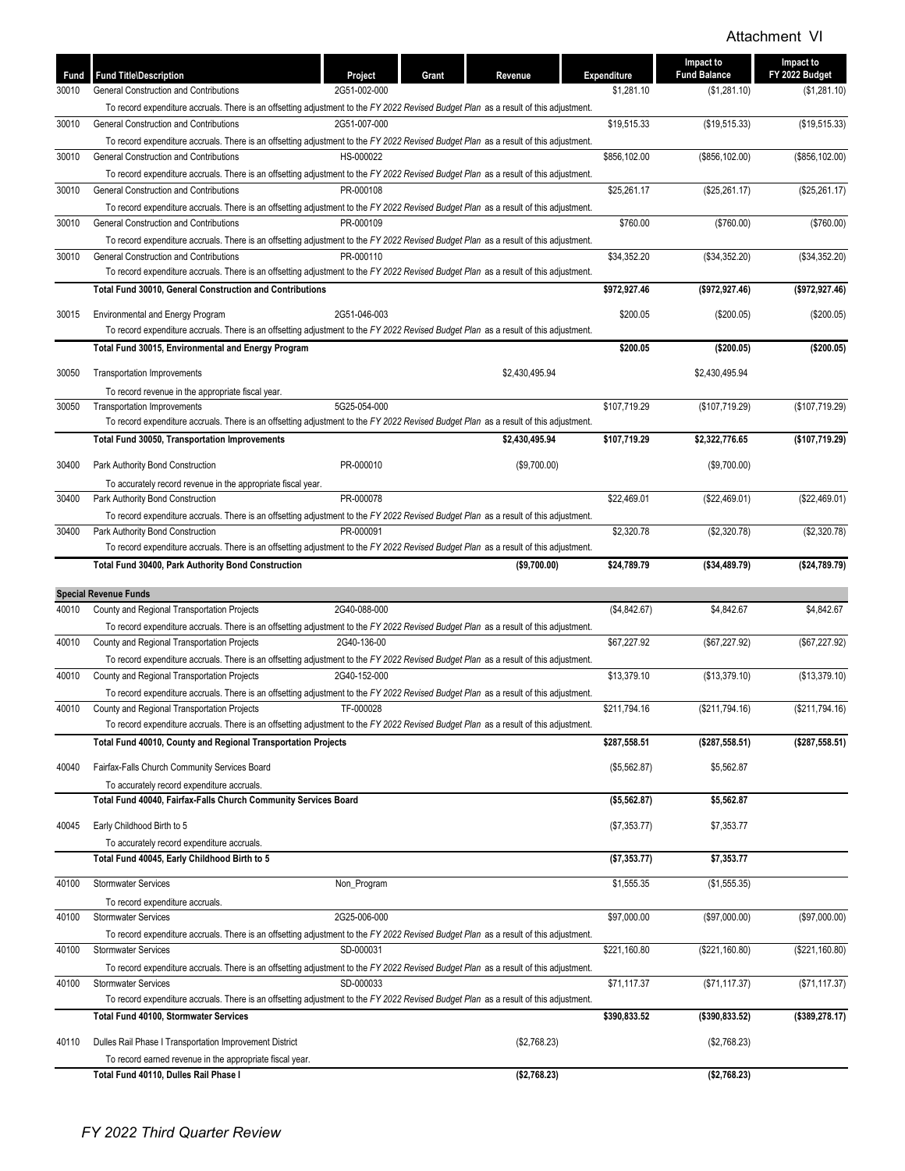| Fund  | <b>Fund Title\Description</b>                                                                                                                                                       | Grant<br>Project | Revenue        | Expenditure  | Impact to<br><b>Fund Balance</b> | Impact to<br>FY 2022 Budget |
|-------|-------------------------------------------------------------------------------------------------------------------------------------------------------------------------------------|------------------|----------------|--------------|----------------------------------|-----------------------------|
| 30010 | General Construction and Contributions                                                                                                                                              | 2G51-002-000     |                | \$1,281.10   | (\$1,281.10)                     | (\$1,281.10)                |
|       | To record expenditure accruals. There is an offsetting adjustment to the FY 2022 Revised Budget Plan as a result of this adjustment.                                                |                  |                |              |                                  |                             |
| 30010 | General Construction and Contributions                                                                                                                                              | 2G51-007-000     |                | \$19,515.33  | (\$19,515.33)                    | (\$19,515.33)               |
|       | To record expenditure accruals. There is an offsetting adjustment to the FY 2022 Revised Budget Plan as a result of this adjustment.                                                | HS-000022        |                | \$856,102.00 | (\$856, 102.00)                  | (\$856, 102.00)             |
| 30010 | General Construction and Contributions                                                                                                                                              |                  |                |              |                                  |                             |
| 30010 | To record expenditure accruals. There is an offsetting adjustment to the FY 2022 Revised Budget Plan as a result of this adjustment.<br>General Construction and Contributions      | PR-000108        |                | \$25,261.17  | (\$25,261.17)                    | (\$25,261.17)               |
|       | To record expenditure accruals. There is an offsetting adjustment to the FY 2022 Revised Budget Plan as a result of this adjustment.                                                |                  |                |              |                                  |                             |
| 30010 | General Construction and Contributions                                                                                                                                              | PR-000109        |                | \$760.00     | (\$760.00)                       | (\$760.00)                  |
|       | To record expenditure accruals. There is an offsetting adjustment to the FY 2022 Revised Budget Plan as a result of this adjustment.                                                |                  |                |              |                                  |                             |
| 30010 | General Construction and Contributions                                                                                                                                              | PR-000110        |                | \$34,352.20  | (\$34,352.20)                    | (\$34,352.20)               |
|       | To record expenditure accruals. There is an offsetting adjustment to the FY 2022 Revised Budget Plan as a result of this adjustment.                                                |                  |                |              |                                  |                             |
|       | Total Fund 30010, General Construction and Contributions                                                                                                                            |                  |                | \$972,927.46 | (\$972,927.46)                   | (\$972,927.46)              |
|       |                                                                                                                                                                                     |                  |                |              |                                  |                             |
| 30015 | Environmental and Energy Program                                                                                                                                                    | 2G51-046-003     |                | \$200.05     | (\$200.05)                       | (\$200.05)                  |
|       | To record expenditure accruals. There is an offsetting adjustment to the FY 2022 Revised Budget Plan as a result of this adjustment.                                                |                  |                |              |                                  |                             |
|       | Total Fund 30015, Environmental and Energy Program                                                                                                                                  |                  |                | \$200.05     | (\$200.05)                       | (\$200.05)                  |
| 30050 | <b>Transportation Improvements</b>                                                                                                                                                  |                  | \$2,430,495.94 |              | \$2,430,495.94                   |                             |
|       | To record revenue in the appropriate fiscal year.                                                                                                                                   |                  |                |              |                                  |                             |
| 30050 | <b>Transportation Improvements</b>                                                                                                                                                  | 5G25-054-000     |                | \$107,719.29 | (\$107,719.29)                   | (\$107,719.29)              |
|       | To record expenditure accruals. There is an offsetting adjustment to the FY 2022 Revised Budget Plan as a result of this adjustment.                                                |                  |                |              |                                  |                             |
|       | Total Fund 30050, Transportation Improvements                                                                                                                                       |                  | \$2,430,495.94 | \$107,719.29 | \$2,322,776.65                   | (\$107,719.29)              |
| 30400 | Park Authority Bond Construction                                                                                                                                                    | PR-000010        | (\$9,700.00)   |              | (\$9,700.00)                     |                             |
|       |                                                                                                                                                                                     |                  |                |              |                                  |                             |
| 30400 | To accurately record revenue in the appropriate fiscal year.<br>Park Authority Bond Construction                                                                                    | PR-000078        |                | \$22,469.01  | (\$22,469.01)                    | (\$22,469.01)               |
|       | To record expenditure accruals. There is an offsetting adjustment to the FY 2022 Revised Budget Plan as a result of this adjustment.                                                |                  |                |              |                                  |                             |
| 30400 | Park Authority Bond Construction                                                                                                                                                    | PR-000091        |                | \$2,320.78   | (\$2,320.78)                     | (\$2,320.78)                |
|       | To record expenditure accruals. There is an offsetting adjustment to the FY 2022 Revised Budget Plan as a result of this adjustment.                                                |                  |                |              |                                  |                             |
|       | Total Fund 30400, Park Authority Bond Construction                                                                                                                                  |                  | (\$9,700.00)   | \$24,789.79  | (\$34,489.79)                    | ( \$24,789.79)              |
|       |                                                                                                                                                                                     |                  |                |              |                                  |                             |
|       | <b>Special Revenue Funds</b>                                                                                                                                                        |                  |                |              |                                  |                             |
| 40010 | County and Regional Transportation Projects                                                                                                                                         | 2G40-088-000     |                | (\$4,842.67) | \$4,842.67                       | \$4,842.67                  |
|       | To record expenditure accruals. There is an offsetting adjustment to the FY 2022 Revised Budget Plan as a result of this adjustment.                                                |                  |                |              |                                  |                             |
| 40010 | County and Regional Transportation Projects                                                                                                                                         | 2G40-136-00      |                | \$67,227.92  | (\$67, 227.92)                   | (\$67, 227.92)              |
|       | To record expenditure accruals. There is an offsetting adjustment to the FY 2022 Revised Budget Plan as a result of this adjustment.                                                |                  |                |              |                                  |                             |
| 40010 | County and Regional Transportation Projects                                                                                                                                         | 2G40-152-000     |                | \$13,379.10  | (\$13,379.10)                    | (\$13,379.10)               |
|       | To record expenditure accruals. There is an offsetting adjustment to the FY 2022 Revised Budget Plan as a result of this adjustment.                                                |                  |                |              | (\$211,794.16)                   | (\$211,794.16)              |
| 40010 | County and Regional Transportation Projects<br>To record expenditure accruals. There is an offsetting adjustment to the FY 2022 Revised Budget Plan as a result of this adjustment. | TF-000028        |                | \$211,794.16 |                                  |                             |
|       | Total Fund 40010, County and Regional Transportation Projects                                                                                                                       |                  |                | \$287,558.51 | (\$287,558.51)                   | ( \$287,558.51)             |
|       |                                                                                                                                                                                     |                  |                |              |                                  |                             |
| 40040 | Fairfax-Falls Church Community Services Board                                                                                                                                       |                  |                | (\$5,562.87) | \$5,562.87                       |                             |
|       | To accurately record expenditure accruals.                                                                                                                                          |                  |                |              |                                  |                             |
|       | Total Fund 40040, Fairfax-Falls Church Community Services Board                                                                                                                     |                  |                | (\$5,562.87) | \$5,562.87                       |                             |
| 40045 | Early Childhood Birth to 5                                                                                                                                                          |                  |                | (\$7,353.77) | \$7,353.77                       |                             |
|       | To accurately record expenditure accruals.                                                                                                                                          |                  |                |              |                                  |                             |
|       | Total Fund 40045, Early Childhood Birth to 5                                                                                                                                        |                  |                | (\$7,353.77) | \$7,353.77                       |                             |
|       |                                                                                                                                                                                     |                  |                |              |                                  |                             |
| 40100 | <b>Stormwater Services</b>                                                                                                                                                          | Non_Program      |                | \$1,555.35   | (\$1,555.35)                     |                             |
|       | To record expenditure accruals.                                                                                                                                                     |                  |                |              |                                  |                             |
| 40100 | <b>Stormwater Services</b>                                                                                                                                                          | 2G25-006-000     |                | \$97,000.00  | (\$97,000.00)                    | (\$97,000.00)               |
|       | To record expenditure accruals. There is an offsetting adjustment to the FY 2022 Revised Budget Plan as a result of this adjustment.                                                |                  |                |              |                                  |                             |
| 40100 | <b>Stormwater Services</b>                                                                                                                                                          | SD-000031        |                | \$221,160.80 | (\$221,160.80)                   | (\$221,160.80)              |
|       | To record expenditure accruals. There is an offsetting adjustment to the FY 2022 Revised Budget Plan as a result of this adjustment.                                                |                  |                |              |                                  |                             |
| 40100 | <b>Stormwater Services</b>                                                                                                                                                          | SD-000033        |                | \$71,117.37  | (\$71, 117.37)                   | (\$71, 117.37)              |
|       | To record expenditure accruals. There is an offsetting adjustment to the FY 2022 Revised Budget Plan as a result of this adjustment.                                                |                  |                |              |                                  |                             |
|       | <b>Total Fund 40100, Stormwater Services</b>                                                                                                                                        |                  |                | \$390,833.52 | ( \$390, 833.52)                 | (\$389,278.17)              |
| 40110 | Dulles Rail Phase I Transportation Improvement District                                                                                                                             |                  | (\$2,768.23)   |              | (\$2,768.23)                     |                             |
|       | To record earned revenue in the appropriate fiscal year.                                                                                                                            |                  |                |              |                                  |                             |
|       | Total Fund 40110, Dulles Rail Phase I                                                                                                                                               |                  | (\$2,768.23)   |              | (\$2,768.23)                     |                             |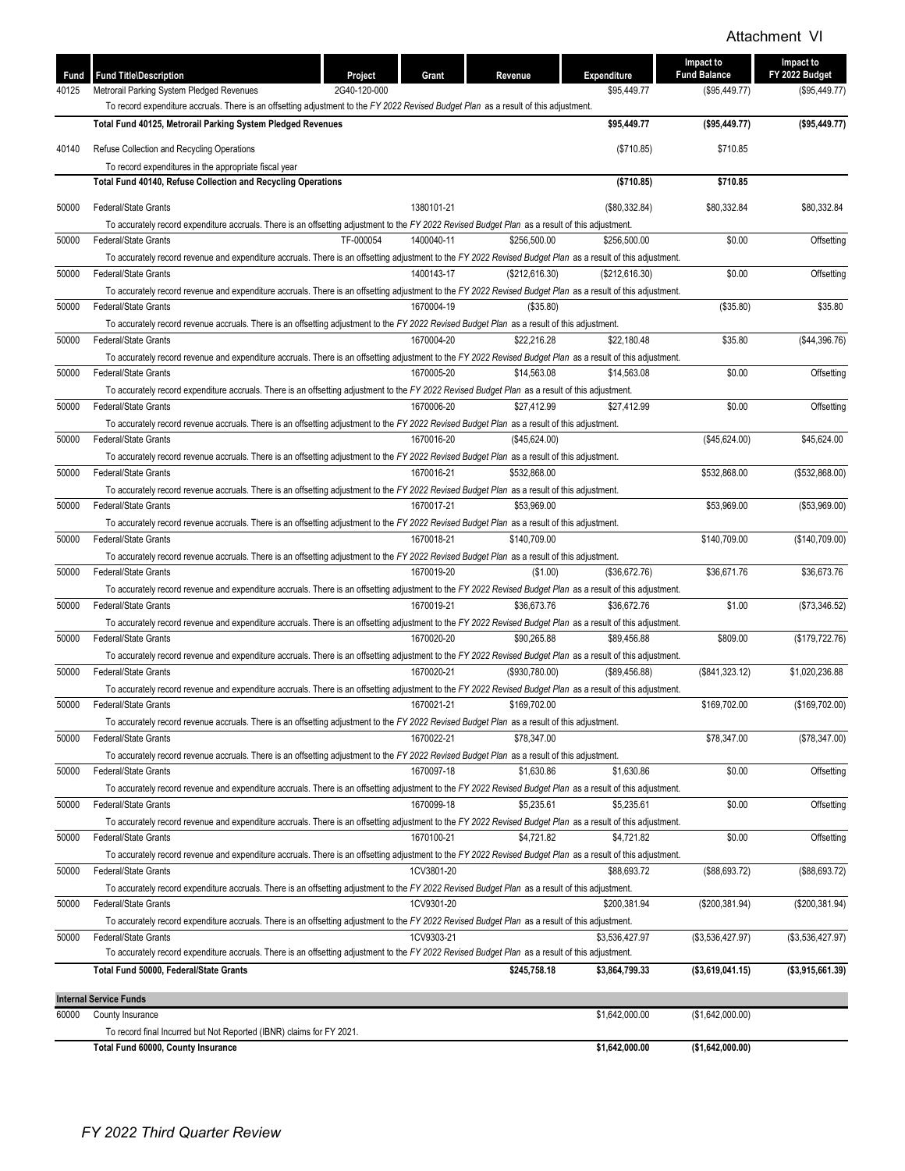| Fund  | <b>Fund Title\Description</b>                                                                                                                                           | Project      | Grant      | Revenue        | Expenditure    | Impact to<br><b>Fund Balance</b> | Impact to<br>FY 2022 Budget |
|-------|-------------------------------------------------------------------------------------------------------------------------------------------------------------------------|--------------|------------|----------------|----------------|----------------------------------|-----------------------------|
| 40125 | Metrorail Parking System Pledged Revenues                                                                                                                               | 2G40-120-000 |            |                | \$95,449.77    | (\$95,449.77)                    | (\$95,449.77)               |
|       | To record expenditure accruals. There is an offsetting adjustment to the FY 2022 Revised Budget Plan as a result of this adjustment.                                    |              |            |                |                |                                  |                             |
|       | Total Fund 40125, Metrorail Parking System Pledged Revenues                                                                                                             |              |            |                | \$95,449.77    | ( \$95,449.77)                   | (\$95,449.77)               |
| 40140 | Refuse Collection and Recycling Operations                                                                                                                              |              |            |                | (\$710.85)     | \$710.85                         |                             |
|       | To record expenditures in the appropriate fiscal year                                                                                                                   |              |            |                |                |                                  |                             |
|       | Total Fund 40140, Refuse Collection and Recycling Operations                                                                                                            |              |            |                | (\$710.85)     | \$710.85                         |                             |
| 50000 | <b>Federal/State Grants</b>                                                                                                                                             |              | 1380101-21 |                | (\$80,332.84)  | \$80,332.84                      | \$80.332.84                 |
|       | To accurately record expenditure accruals. There is an offsetting adjustment to the FY 2022 Revised Budget Plan as a result of this adjustment.                         |              |            |                |                |                                  |                             |
| 50000 | Federal/State Grants                                                                                                                                                    | TF-000054    | 1400040-11 | \$256,500.00   | \$256,500.00   | \$0.00                           | Offsetting                  |
|       | To accurately record revenue and expenditure accruals. There is an offsetting adjustment to the FY 2022 Revised Budget Plan as a result of this adjustment.             |              |            |                |                |                                  |                             |
| 50000 | Federal/State Grants                                                                                                                                                    |              | 1400143-17 | (\$212,616.30) | (\$212,616.30) | \$0.00                           | Offsetting                  |
|       | To accurately record revenue and expenditure accruals. There is an offsetting adjustment to the FY 2022 Revised Budget Plan as a result of this adjustment.             |              |            |                |                |                                  |                             |
| 50000 | <b>Federal/State Grants</b>                                                                                                                                             |              | 1670004-19 | (\$35.80)      |                | (\$35.80)                        | \$35.80                     |
|       | To accurately record revenue accruals. There is an offsetting adjustment to the FY 2022 Revised Budget Plan as a result of this adjustment.                             |              |            |                |                |                                  |                             |
| 50000 | Federal/State Grants                                                                                                                                                    |              | 1670004-20 | \$22,216.28    | \$22,180.48    | \$35.80                          | (\$44,396.76)               |
|       | To accurately record revenue and expenditure accruals. There is an offsetting adjustment to the FY 2022 Revised Budget Plan as a result of this adjustment.             |              |            |                |                |                                  |                             |
| 50000 | <b>Federal/State Grants</b>                                                                                                                                             |              | 1670005-20 | \$14,563.08    | \$14,563.08    | \$0.00                           | Offsetting                  |
| 50000 | To accurately record expenditure accruals. There is an offsetting adjustment to the FY 2022 Revised Budget Plan as a result of this adjustment.<br>Federal/State Grants |              | 1670006-20 | \$27,412.99    | \$27,412.99    | \$0.00                           | Offsetting                  |
|       | To accurately record revenue accruals. There is an offsetting adjustment to the FY 2022 Revised Budget Plan as a result of this adjustment.                             |              |            |                |                |                                  |                             |
| 50000 | <b>Federal/State Grants</b>                                                                                                                                             |              | 1670016-20 | (\$45,624.00)  |                | (\$45,624.00)                    | \$45,624.00                 |
|       | To accurately record revenue accruals. There is an offsetting adjustment to the FY 2022 Revised Budget Plan as a result of this adjustment.                             |              |            |                |                |                                  |                             |
| 50000 | Federal/State Grants                                                                                                                                                    |              | 1670016-21 | \$532,868.00   |                | \$532,868.00                     | (\$532,868.00)              |
|       | To accurately record revenue accruals. There is an offsetting adjustment to the FY 2022 Revised Budget Plan as a result of this adjustment.                             |              |            |                |                |                                  |                             |
| 50000 | Federal/State Grants                                                                                                                                                    |              | 1670017-21 | \$53,969.00    |                | \$53,969.00                      | (\$53,969.00)               |
|       | To accurately record revenue accruals. There is an offsetting adjustment to the FY 2022 Revised Budget Plan as a result of this adjustment.                             |              |            |                |                |                                  |                             |
| 50000 | Federal/State Grants                                                                                                                                                    |              | 1670018-21 | \$140,709.00   |                | \$140,709.00                     | (\$140,709.00)              |
|       | To accurately record revenue accruals. There is an offsetting adjustment to the FY 2022 Revised Budget Plan as a result of this adjustment.                             |              |            |                |                |                                  |                             |
| 50000 | Federal/State Grants                                                                                                                                                    |              | 1670019-20 | (\$1.00)       | (\$36,672.76)  | \$36,671.76                      | \$36,673.76                 |
|       | To accurately record revenue and expenditure accruals. There is an offsetting adjustment to the FY 2022 Revised Budget Plan as a result of this adjustment.             |              |            |                |                |                                  |                             |
| 50000 | Federal/State Grants                                                                                                                                                    |              | 1670019-21 | \$36,673.76    | \$36,672.76    | \$1.00                           | (\$73,346.52)               |
|       | To accurately record revenue and expenditure accruals. There is an offsetting adjustment to the FY 2022 Revised Budget Plan as a result of this adjustment.             |              |            |                |                |                                  |                             |
| 50000 | Federal/State Grants                                                                                                                                                    |              | 1670020-20 | \$90,265.88    | \$89,456.88    | \$809.00                         | (\$179, 722.76)             |
|       | To accurately record revenue and expenditure accruals. There is an offsetting adjustment to the FY 2022 Revised Budget Plan as a result of this adjustment.             |              |            |                |                |                                  |                             |
| 50000 | Federal/State Grants                                                                                                                                                    |              | 1670020-21 | (\$930,780.00) | (\$89,456.88)  | (\$841,323.12)                   | \$1,020,236.88              |
|       | To accurately record revenue and expenditure accruals. There is an offsetting adjustment to the FY 2022 Revised Budget Plan as a result of this adjustment.             |              |            |                |                |                                  |                             |
| 50000 | <b>Federal/State Grants</b>                                                                                                                                             |              | 1670021-21 | \$169.702.00   |                | \$169,702.00                     | (\$169,702.00)              |
| 50000 | To accurately record revenue accruals. There is an offsetting adjustment to the FY 2022 Revised Budget Plan as a result of this adjustment.<br>Federal/State Grants     |              | 1670022-21 | \$78,347.00    |                | \$78,347.00                      | (\$78,347.00)               |
|       | To accurately record revenue accruals. There is an offsetting adjustment to the FY 2022 Revised Budget Plan as a result of this adjustment.                             |              |            |                |                |                                  |                             |
| 50000 | <b>Federal/State Grants</b>                                                                                                                                             |              | 1670097-18 | \$1,630.86     | \$1,630.86     | \$0.00                           | Offsetting                  |
|       | To accurately record revenue and expenditure accruals. There is an offsetting adjustment to the FY 2022 Revised Budget Plan as a result of this adjustment.             |              |            |                |                |                                  |                             |
| 50000 | Federal/State Grants                                                                                                                                                    |              | 1670099-18 | \$5,235.61     | \$5,235.61     | \$0.00                           | Offsetting                  |
|       | To accurately record revenue and expenditure accruals. There is an offsetting adjustment to the FY 2022 Revised Budget Plan as a result of this adjustment.             |              |            |                |                |                                  |                             |
| 50000 | Federal/State Grants                                                                                                                                                    |              | 1670100-21 | \$4,721.82     | \$4,721.82     | \$0.00                           | Offsetting                  |
|       | To accurately record revenue and expenditure accruals. There is an offsetting adjustment to the FY 2022 Revised Budget Plan as a result of this adjustment.             |              |            |                |                |                                  |                             |
| 50000 | Federal/State Grants                                                                                                                                                    |              | 1CV3801-20 |                | \$88,693.72    | (\$88,693.72)                    | (\$88,693.72)               |
|       | To accurately record expenditure accruals. There is an offsetting adjustment to the FY 2022 Revised Budget Plan as a result of this adjustment.                         |              |            |                |                |                                  |                             |
| 50000 | Federal/State Grants                                                                                                                                                    |              | 1CV9301-20 |                | \$200,381.94   | (\$200,381.94)                   | (\$200,381.94)              |
|       | To accurately record expenditure accruals. There is an offsetting adjustment to the FY 2022 Revised Budget Plan as a result of this adjustment.                         |              |            |                |                |                                  |                             |
| 50000 | <b>Federal/State Grants</b>                                                                                                                                             |              | 1CV9303-21 |                | \$3,536,427.97 | (\$3,536,427.97)                 | (\$3,536,427.97)            |
|       | To accurately record expenditure accruals. There is an offsetting adjustment to the FY 2022 Revised Budget Plan as a result of this adjustment.                         |              |            |                |                |                                  |                             |
|       | Total Fund 50000, Federal/State Grants                                                                                                                                  |              |            | \$245,758.18   | \$3,864,799.33 | (\$3,619,041.15)                 | (\$3,915,661.39)            |
|       | <b>Internal Service Funds</b>                                                                                                                                           |              |            |                |                |                                  |                             |
| 60000 | County Insurance                                                                                                                                                        |              |            |                | \$1,642,000.00 | (\$1,642,000.00)                 |                             |
|       | To record final Incurred but Not Reported (IBNR) claims for FY 2021.                                                                                                    |              |            |                |                |                                  |                             |
|       | Total Fund 60000, County Insurance                                                                                                                                      |              |            |                | \$1,642,000.00 | (\$1,642,000.00)                 |                             |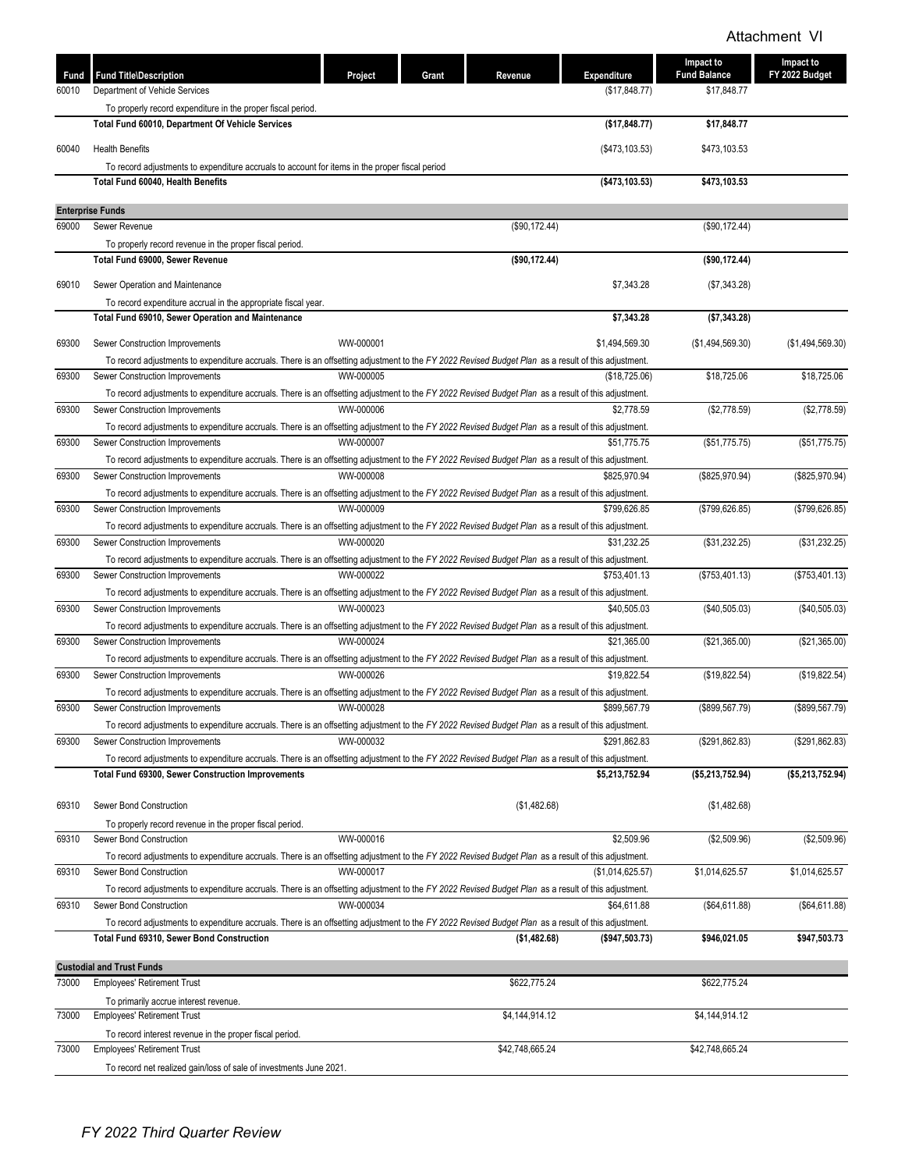| Fund<br>60010 | <b>Fund Title\Description</b><br>Department of Vehicle Services                                                                                                                        | Project   | Grant<br>Revenue | Expenditure<br>(\$17,848.77) | Impact to<br><b>Fund Balance</b><br>\$17,848.77 | Impact to<br>FY 2022 Budget |
|---------------|----------------------------------------------------------------------------------------------------------------------------------------------------------------------------------------|-----------|------------------|------------------------------|-------------------------------------------------|-----------------------------|
|               | To properly record expenditure in the proper fiscal period.                                                                                                                            |           |                  |                              |                                                 |                             |
|               | <b>Total Fund 60010, Department Of Vehicle Services</b>                                                                                                                                |           |                  | (\$17,848.77)                | \$17,848.77                                     |                             |
| 60040         | <b>Health Benefits</b>                                                                                                                                                                 |           |                  | (\$473,103.53)               | \$473,103.53                                    |                             |
|               | To record adjustments to expenditure accruals to account for items in the proper fiscal period                                                                                         |           |                  |                              |                                                 |                             |
|               | Total Fund 60040, Health Benefits                                                                                                                                                      |           |                  | (\$473, 103.53)              | \$473,103.53                                    |                             |
|               |                                                                                                                                                                                        |           |                  |                              |                                                 |                             |
| 69000         | <b>Enterprise Funds</b><br>Sewer Revenue                                                                                                                                               |           | (\$90,172.44)    |                              | (\$90,172.44)                                   |                             |
|               | To properly record revenue in the proper fiscal period.                                                                                                                                |           |                  |                              |                                                 |                             |
|               | Total Fund 69000, Sewer Revenue                                                                                                                                                        |           | (\$90,172.44)    |                              | (\$90,172.44)                                   |                             |
|               |                                                                                                                                                                                        |           |                  |                              |                                                 |                             |
| 69010         | Sewer Operation and Maintenance                                                                                                                                                        |           |                  | \$7,343.28                   | (\$7,343.28)                                    |                             |
|               | To record expenditure accrual in the appropriate fiscal year.<br>Total Fund 69010, Sewer Operation and Maintenance                                                                     |           |                  | \$7,343.28                   | (\$7,343.28)                                    |                             |
|               |                                                                                                                                                                                        |           |                  |                              |                                                 |                             |
| 69300         | Sewer Construction Improvements                                                                                                                                                        | WW-000001 |                  | \$1,494,569.30               | (\$1,494,569.30)                                | (\$1,494,569.30)            |
|               | To record adjustments to expenditure accruals. There is an offsetting adjustment to the FY 2022 Revised Budget Plan as a result of this adjustment.                                    |           |                  |                              |                                                 |                             |
| 69300         | Sewer Construction Improvements                                                                                                                                                        | WW-000005 |                  | (\$18,725.06)                | \$18,725.06                                     | \$18,725.06                 |
|               | To record adjustments to expenditure accruals. There is an offsetting adjustment to the FY 2022 Revised Budget Plan as a result of this adjustment.                                    |           |                  | \$2,778.59                   |                                                 |                             |
| 69300         | Sewer Construction Improvements                                                                                                                                                        | WW-000006 |                  |                              | (\$2,778.59)                                    | (\$2,778.59)                |
| 69300         | To record adjustments to expenditure accruals. There is an offsetting adjustment to the FY 2022 Revised Budget Plan as a result of this adjustment.<br>Sewer Construction Improvements | WW-000007 |                  | \$51,775.75                  | (\$51,775.75)                                   | (\$51,775.75)               |
|               | To record adjustments to expenditure accruals. There is an offsetting adjustment to the FY 2022 Revised Budget Plan as a result of this adjustment.                                    |           |                  |                              |                                                 |                             |
| 69300         | Sewer Construction Improvements                                                                                                                                                        | WW-000008 |                  | \$825.970.94                 | (\$825,970.94)                                  | (\$825,970.94)              |
|               | To record adjustments to expenditure accruals. There is an offsetting adjustment to the FY 2022 Revised Budget Plan as a result of this adjustment.                                    |           |                  |                              |                                                 |                             |
| 69300         | Sewer Construction Improvements                                                                                                                                                        | WW-000009 |                  | \$799,626.85                 | (\$799,626.85)                                  | (\$799,626.85)              |
|               | To record adjustments to expenditure accruals. There is an offsetting adjustment to the FY 2022 Revised Budget Plan as a result of this adjustment.                                    |           |                  |                              |                                                 |                             |
| 69300         | Sewer Construction Improvements                                                                                                                                                        | WW-000020 |                  | \$31,232.25                  | (\$31,232.25)                                   | (\$31,232.25)               |
|               | To record adjustments to expenditure accruals. There is an offsetting adjustment to the FY 2022 Revised Budget Plan as a result of this adjustment.                                    |           |                  |                              |                                                 |                             |
| 69300         | Sewer Construction Improvements                                                                                                                                                        | WW-000022 |                  | \$753,401.13                 | (\$753,401.13)                                  | (\$753,401.13)              |
|               | To record adjustments to expenditure accruals. There is an offsetting adjustment to the FY 2022 Revised Budget Plan as a result of this adjustment.                                    |           |                  |                              |                                                 |                             |
| 69300         | Sewer Construction Improvements                                                                                                                                                        | WW-000023 |                  | \$40,505.03                  | (\$40,505.03)                                   | (\$40,505.03)               |
| 69300         | To record adjustments to expenditure accruals. There is an offsetting adjustment to the FY 2022 Revised Budget Plan as a result of this adjustment.<br>Sewer Construction Improvements | WW-000024 |                  | \$21.365.00                  | (\$21,365.00)                                   | (\$21,365.00)               |
|               | To record adjustments to expenditure accruals. There is an offsetting adjustment to the FY 2022 Revised Budget Plan as a result of this adjustment.                                    |           |                  |                              |                                                 |                             |
| 69300         | Sewer Construction Improvements                                                                                                                                                        | WW-000026 |                  | \$19,822.54                  | (\$19,822.54)                                   | (\$19,822.54)               |
|               | To record adjustments to expenditure accruals. There is an offsetting adjustment to the FY 2022 Revised Budget Plan as a result of this adjustment.                                    |           |                  |                              |                                                 |                             |
| 69300         | Sewer Construction Improvements                                                                                                                                                        | WW-000028 |                  | \$899,567.79                 | (\$899,567.79)                                  | (\$899,567.79)              |
|               | To record adjustments to expenditure accruals. There is an offsetting adjustment to the FY 2022 Revised Budget Plan as a result of this adjustment.                                    |           |                  |                              |                                                 |                             |
| 69300         | Sewer Construction Improvements                                                                                                                                                        | WW-000032 |                  | \$291,862.83                 | (\$291,862.83)                                  | (\$291,862.83)              |
|               | To record adjustments to expenditure accruals. There is an offsetting adjustment to the FY 2022 Revised Budget Plan as a result of this adjustment.                                    |           |                  |                              |                                                 |                             |
|               | <b>Total Fund 69300, Sewer Construction Improvements</b>                                                                                                                               |           |                  | \$5,213,752.94               | (\$5,213,752.94)                                | (\$5,213,752.94)            |
|               |                                                                                                                                                                                        |           |                  |                              |                                                 |                             |
| 69310         | Sewer Bond Construction                                                                                                                                                                |           | (\$1,482.68)     |                              | (\$1,482.68)                                    |                             |
| 69310         | To properly record revenue in the proper fiscal period.<br>Sewer Bond Construction                                                                                                     | WW-000016 |                  | \$2,509.96                   | (\$2,509.96)                                    | (\$2,509.96)                |
|               | To record adjustments to expenditure accruals. There is an offsetting adjustment to the FY 2022 Revised Budget Plan as a result of this adjustment.                                    |           |                  |                              |                                                 |                             |
| 69310         | Sewer Bond Construction                                                                                                                                                                | WW-000017 |                  | (\$1,014,625.57)             | \$1,014,625.57                                  | \$1,014,625.57              |
|               | To record adjustments to expenditure accruals. There is an offsetting adjustment to the FY 2022 Revised Budget Plan as a result of this adjustment.                                    |           |                  |                              |                                                 |                             |
| 69310         | Sewer Bond Construction                                                                                                                                                                | WW-000034 |                  | \$64,611.88                  | (\$64,611.88)                                   | (\$64,611.88)               |
|               | To record adjustments to expenditure accruals. There is an offsetting adjustment to the FY 2022 Revised Budget Plan as a result of this adjustment.                                    |           |                  |                              |                                                 |                             |
|               | Total Fund 69310, Sewer Bond Construction                                                                                                                                              |           | (\$1,482.68)     | (\$947,503.73)               | \$946,021.05                                    | \$947,503.73                |
|               |                                                                                                                                                                                        |           |                  |                              |                                                 |                             |
| 73000         | <b>Custodial and Trust Funds</b><br><b>Employees' Retirement Trust</b>                                                                                                                 |           | \$622,775.24     |                              | \$622,775.24                                    |                             |
|               | To primarily accrue interest revenue.                                                                                                                                                  |           |                  |                              |                                                 |                             |
| 73000         | <b>Employees' Retirement Trust</b>                                                                                                                                                     |           | \$4,144,914.12   |                              | \$4,144,914.12                                  |                             |
|               | To record interest revenue in the proper fiscal period.                                                                                                                                |           |                  |                              |                                                 |                             |
| 73000         | <b>Employees' Retirement Trust</b>                                                                                                                                                     |           | \$42,748,665.24  |                              | \$42,748,665.24                                 |                             |
|               | To record net realized gain/loss of sale of investments June 2021.                                                                                                                     |           |                  |                              |                                                 |                             |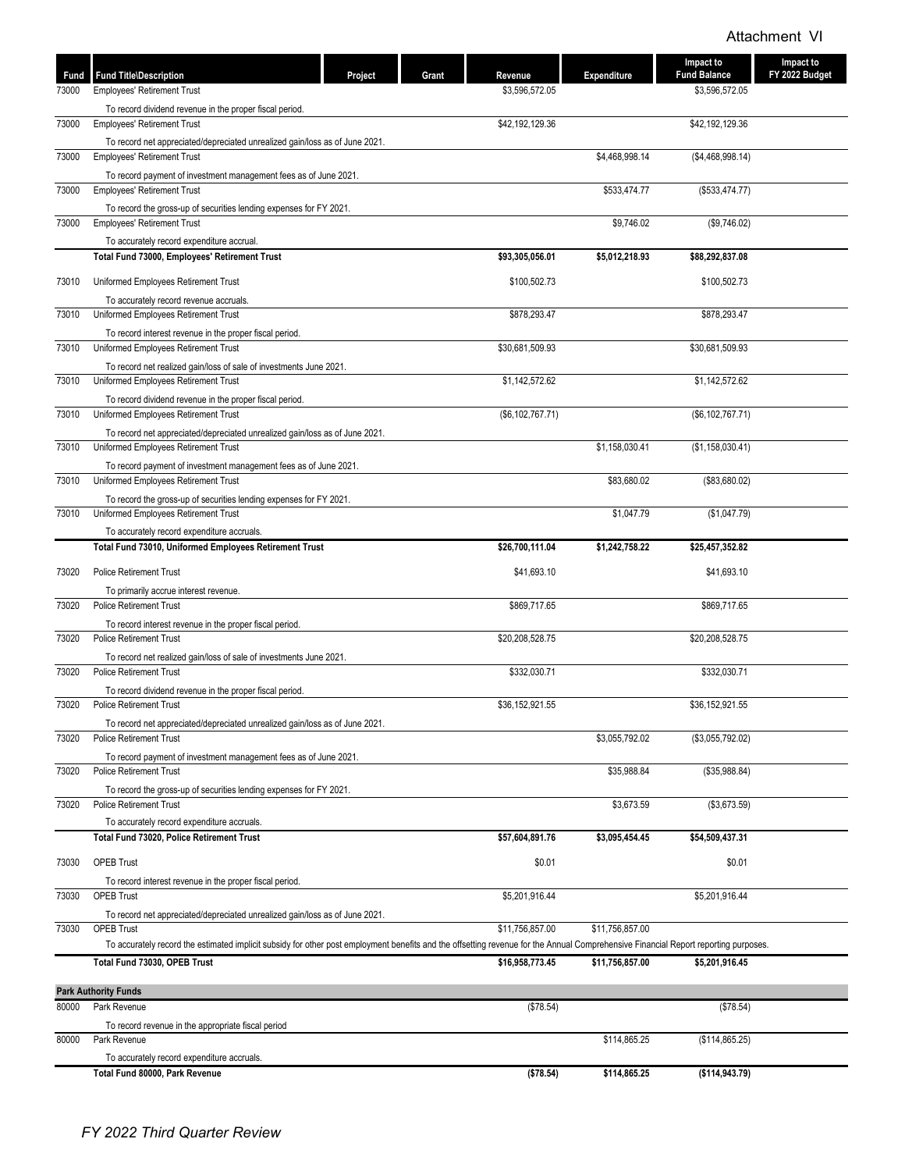| Fund  | <b>Fund Title\Description</b>                                                                                                                                                       | Project | Grant | Revenue            | <b>Expenditure</b> | Impact to<br><b>Fund Balance</b> | <b>Impact to</b><br>FY 2022 Budget |
|-------|-------------------------------------------------------------------------------------------------------------------------------------------------------------------------------------|---------|-------|--------------------|--------------------|----------------------------------|------------------------------------|
| 73000 | <b>Employees' Retirement Trust</b>                                                                                                                                                  |         |       | \$3,596,572.05     |                    | \$3,596,572.05                   |                                    |
|       | To record dividend revenue in the proper fiscal period.                                                                                                                             |         |       |                    |                    |                                  |                                    |
| 73000 | <b>Employees' Retirement Trust</b>                                                                                                                                                  |         |       | \$42,192,129.36    |                    | \$42,192,129.36                  |                                    |
|       | To record net appreciated/depreciated unrealized gain/loss as of June 2021.                                                                                                         |         |       |                    |                    |                                  |                                    |
| 73000 | <b>Employees' Retirement Trust</b>                                                                                                                                                  |         |       |                    | \$4,468,998.14     | (\$4,468,998.14)                 |                                    |
|       | To record payment of investment management fees as of June 2021.<br><b>Employees' Retirement Trust</b>                                                                              |         |       |                    |                    |                                  |                                    |
| 73000 |                                                                                                                                                                                     |         |       |                    | \$533,474.77       | (\$533,474.77)                   |                                    |
| 73000 | To record the gross-up of securities lending expenses for FY 2021.<br><b>Employees' Retirement Trust</b>                                                                            |         |       |                    | \$9,746.02         | (\$9,746.02)                     |                                    |
|       | To accurately record expenditure accrual.                                                                                                                                           |         |       |                    |                    |                                  |                                    |
|       | Total Fund 73000, Employees' Retirement Trust                                                                                                                                       |         |       | \$93,305,056.01    | \$5,012,218.93     | \$88,292,837.08                  |                                    |
| 73010 | Uniformed Employees Retirement Trust                                                                                                                                                |         |       | \$100,502.73       |                    | \$100,502.73                     |                                    |
|       |                                                                                                                                                                                     |         |       |                    |                    |                                  |                                    |
| 73010 | To accurately record revenue accruals.<br>Uniformed Employees Retirement Trust                                                                                                      |         |       | \$878,293.47       |                    | \$878,293.47                     |                                    |
|       | To record interest revenue in the proper fiscal period.                                                                                                                             |         |       |                    |                    |                                  |                                    |
| 73010 | Uniformed Employees Retirement Trust                                                                                                                                                |         |       | \$30,681,509.93    |                    | \$30,681,509.93                  |                                    |
|       | To record net realized gain/loss of sale of investments June 2021.                                                                                                                  |         |       |                    |                    |                                  |                                    |
| 73010 | Uniformed Employees Retirement Trust                                                                                                                                                |         |       | \$1,142,572.62     |                    | \$1,142,572.62                   |                                    |
|       | To record dividend revenue in the proper fiscal period.                                                                                                                             |         |       |                    |                    |                                  |                                    |
| 73010 | Uniformed Employees Retirement Trust                                                                                                                                                |         |       | (\$6, 102, 767.71) |                    | (\$6, 102, 767.71)               |                                    |
|       | To record net appreciated/depreciated unrealized gain/loss as of June 2021.                                                                                                         |         |       |                    |                    |                                  |                                    |
| 73010 | Uniformed Employees Retirement Trust                                                                                                                                                |         |       |                    | \$1,158,030.41     | (\$1,158,030.41)                 |                                    |
| 73010 | To record payment of investment management fees as of June 2021.<br>Uniformed Employees Retirement Trust                                                                            |         |       |                    | \$83,680.02        | (\$83,680.02)                    |                                    |
|       | To record the gross-up of securities lending expenses for FY 2021.                                                                                                                  |         |       |                    |                    |                                  |                                    |
| 73010 | Uniformed Employees Retirement Trust                                                                                                                                                |         |       |                    | \$1,047.79         | (\$1,047.79)                     |                                    |
|       | To accurately record expenditure accruals.                                                                                                                                          |         |       |                    |                    |                                  |                                    |
|       | Total Fund 73010, Uniformed Employees Retirement Trust                                                                                                                              |         |       | \$26,700,111.04    | \$1,242,758.22     | \$25,457,352.82                  |                                    |
| 73020 | <b>Police Retirement Trust</b>                                                                                                                                                      |         |       | \$41,693.10        |                    | \$41,693.10                      |                                    |
|       | To primarily accrue interest revenue.                                                                                                                                               |         |       |                    |                    |                                  |                                    |
| 73020 | <b>Police Retirement Trust</b>                                                                                                                                                      |         |       | \$869,717.65       |                    | \$869,717.65                     |                                    |
|       | To record interest revenue in the proper fiscal period.                                                                                                                             |         |       |                    |                    |                                  |                                    |
| 73020 | <b>Police Retirement Trust</b>                                                                                                                                                      |         |       | \$20,208,528.75    |                    | \$20,208,528.75                  |                                    |
|       | To record net realized gain/loss of sale of investments June 2021.                                                                                                                  |         |       |                    |                    |                                  |                                    |
| 73020 | <b>Police Retirement Trust</b>                                                                                                                                                      |         |       | \$332,030.71       |                    | \$332,030.71                     |                                    |
|       | To record dividend revenue in the proper fiscal period.<br><b>Police Retirement Trust</b>                                                                                           |         |       |                    |                    |                                  |                                    |
| 73020 |                                                                                                                                                                                     |         |       | \$36,152,921.55    |                    | \$36,152,921.55                  |                                    |
| 73020 | To record net appreciated/depreciated unrealized gain/loss as of June 2021.<br><b>Police Retirement Trust</b>                                                                       |         |       |                    | \$3,055,792.02     | (\$3,055,792.02)                 |                                    |
|       | To record payment of investment management fees as of June 2021.                                                                                                                    |         |       |                    |                    |                                  |                                    |
| 73020 | <b>Police Retirement Trust</b>                                                                                                                                                      |         |       |                    | \$35,988.84        | (\$35,988.84)                    |                                    |
|       | To record the gross-up of securities lending expenses for FY 2021.                                                                                                                  |         |       |                    |                    |                                  |                                    |
| 73020 | <b>Police Retirement Trust</b>                                                                                                                                                      |         |       |                    | \$3,673.59         | (\$3,673.59)                     |                                    |
|       | To accurately record expenditure accruals.                                                                                                                                          |         |       |                    |                    |                                  |                                    |
|       | Total Fund 73020, Police Retirement Trust                                                                                                                                           |         |       | \$57,604,891.76    | \$3,095,454.45     | \$54,509,437.31                  |                                    |
| 73030 | <b>OPEB Trust</b>                                                                                                                                                                   |         |       | \$0.01             |                    | \$0.01                           |                                    |
|       | To record interest revenue in the proper fiscal period.                                                                                                                             |         |       |                    |                    |                                  |                                    |
| 73030 | <b>OPEB Trust</b>                                                                                                                                                                   |         |       | \$5,201,916.44     |                    | \$5,201,916.44                   |                                    |
|       | To record net appreciated/depreciated unrealized gain/loss as of June 2021.                                                                                                         |         |       |                    |                    |                                  |                                    |
| 73030 | <b>OPEB Trust</b>                                                                                                                                                                   |         |       | \$11,756,857.00    | \$11,756,857.00    |                                  |                                    |
|       | To accurately record the estimated implicit subsidy for other post employment benefits and the offsetting revenue for the Annual Comprehensive Financial Report reporting purposes. |         |       |                    |                    |                                  |                                    |
|       | Total Fund 73030, OPEB Trust                                                                                                                                                        |         |       | \$16,958,773.45    | \$11,756,857.00    | \$5,201,916.45                   |                                    |
|       | <b>Park Authority Funds</b>                                                                                                                                                         |         |       |                    |                    |                                  |                                    |
| 80000 | Park Revenue                                                                                                                                                                        |         |       | (\$78.54)          |                    | (\$78.54)                        |                                    |
|       | To record revenue in the appropriate fiscal period                                                                                                                                  |         |       |                    |                    |                                  |                                    |
| 80000 | Park Revenue                                                                                                                                                                        |         |       |                    | \$114,865.25       | (\$114,865.25)                   |                                    |
|       | To accurately record expenditure accruals.                                                                                                                                          |         |       |                    |                    |                                  |                                    |
|       | Total Fund 80000, Park Revenue                                                                                                                                                      |         |       | ( \$78.54)         | \$114,865.25       | (\$114, 943.79)                  |                                    |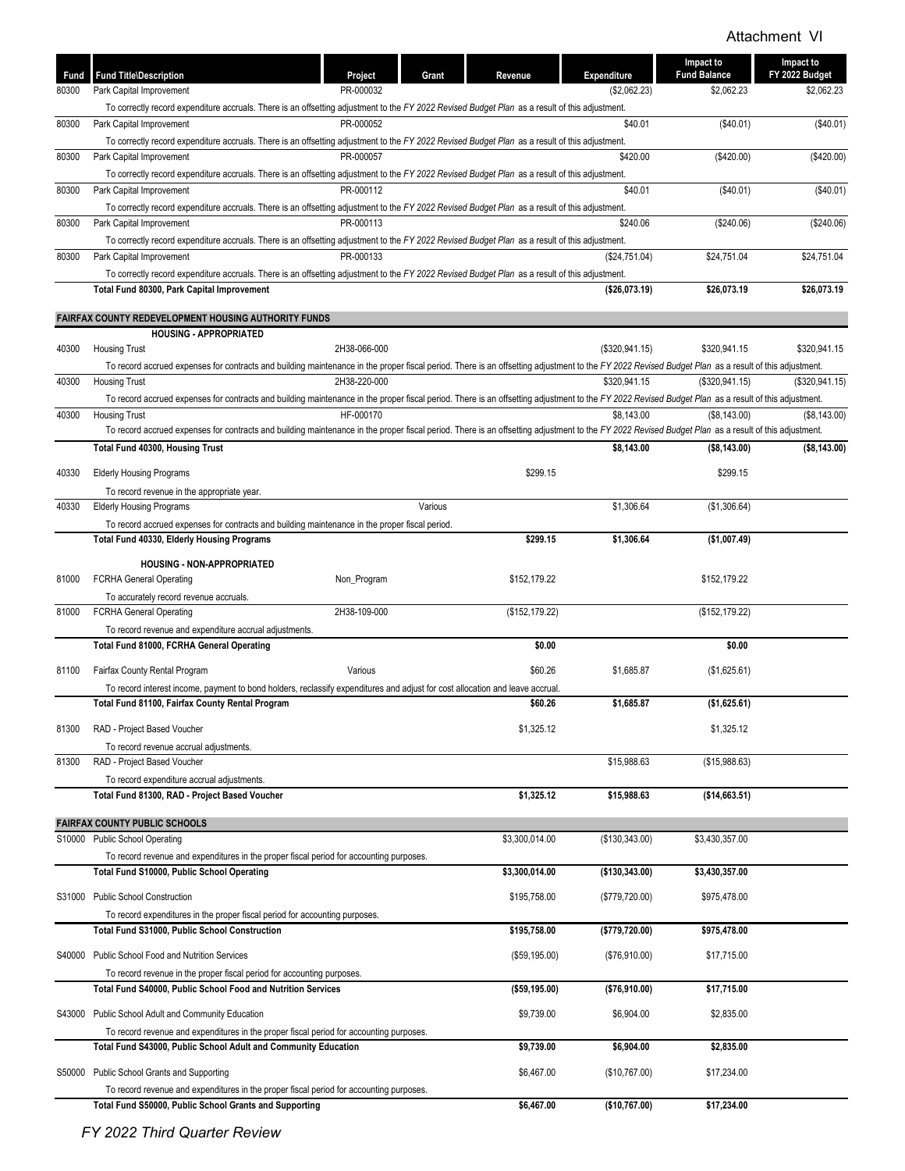| Fund  | <b>Fund Title\Description</b>                                                                                                                                                                                               | Project      | Grant   | Revenue        | Expenditure      | Impact to<br><b>Fund Balance</b> | Impact to<br>FY 2022 Budget |
|-------|-----------------------------------------------------------------------------------------------------------------------------------------------------------------------------------------------------------------------------|--------------|---------|----------------|------------------|----------------------------------|-----------------------------|
| 80300 | Park Capital Improvement                                                                                                                                                                                                    | PR-000032    |         |                | (\$2,062.23)     | \$2,062.23                       | \$2,062.23                  |
|       | To correctly record expenditure accruals. There is an offsetting adjustment to the FY 2022 Revised Budget Plan as a result of this adjustment.                                                                              |              |         |                |                  |                                  |                             |
| 80300 | Park Capital Improvement                                                                                                                                                                                                    | PR-000052    |         |                | \$40.01          | (\$40.01)                        | (\$40.01)                   |
|       | To correctly record expenditure accruals. There is an offsetting adjustment to the FY 2022 Revised Budget Plan as a result of this adjustment.                                                                              |              |         |                |                  |                                  |                             |
| 80300 | Park Capital Improvement                                                                                                                                                                                                    | PR-000057    |         |                | \$420.00         | (\$420.00)                       | (\$420.00)                  |
|       | To correctly record expenditure accruals. There is an offsetting adjustment to the FY 2022 Revised Budget Plan as a result of this adjustment.                                                                              |              |         |                |                  |                                  |                             |
| 80300 | Park Capital Improvement                                                                                                                                                                                                    | PR-000112    |         |                | \$40.01          | (\$40.01)                        | (\$40.01)                   |
|       | To correctly record expenditure accruals. There is an offsetting adjustment to the FY 2022 Revised Budget Plan as a result of this adjustment.                                                                              |              |         |                |                  |                                  |                             |
| 80300 | Park Capital Improvement                                                                                                                                                                                                    | PR-000113    |         |                | \$240.06         | (\$240.06)                       | (\$240.06)                  |
|       | To correctly record expenditure accruals. There is an offsetting adjustment to the FY 2022 Revised Budget Plan as a result of this adjustment.                                                                              |              |         |                |                  |                                  |                             |
| 80300 | Park Capital Improvement                                                                                                                                                                                                    | PR-000133    |         |                | (\$24,751.04)    | \$24,751.04                      | \$24,751.04                 |
|       | To correctly record expenditure accruals. There is an offsetting adjustment to the FY 2022 Revised Budget Plan as a result of this adjustment.                                                                              |              |         |                |                  |                                  |                             |
|       | Total Fund 80300, Park Capital Improvement                                                                                                                                                                                  |              |         |                | (\$26,073.19)    | \$26,073.19                      | \$26,073.19                 |
|       | <b>FAIRFAX COUNTY REDEVELOPMENT HOUSING AUTHORITY FUNDS</b>                                                                                                                                                                 |              |         |                |                  |                                  |                             |
|       | <b>HOUSING - APPROPRIATED</b>                                                                                                                                                                                               |              |         |                |                  |                                  |                             |
| 40300 | <b>Housing Trust</b>                                                                                                                                                                                                        | 2H38-066-000 |         |                | (\$320,941.15)   | \$320,941.15                     | \$320,941.15                |
|       | To record accrued expenses for contracts and building maintenance in the proper fiscal period. There is an offsetting adjustment to the FY 2022 Revised Budget Plan as a result of this adjustment.                         |              |         |                |                  |                                  |                             |
| 40300 | <b>Housing Trust</b>                                                                                                                                                                                                        | 2H38-220-000 |         |                | \$320,941.15     | (\$320,941.15)                   | (\$320,941.15)              |
| 40300 | To record accrued expenses for contracts and building maintenance in the proper fiscal period. There is an offsetting adjustment to the FY 2022 Revised Budget Plan as a result of this adjustment.                         | HF-000170    |         |                | \$8,143.00       | (\$8,143.00)                     | (S8.143.00)                 |
|       | <b>Housing Trust</b><br>To record accrued expenses for contracts and building maintenance in the proper fiscal period. There is an offsetting adjustment to the FY 2022 Revised Budget Plan as a result of this adjustment. |              |         |                |                  |                                  |                             |
|       | Total Fund 40300, Housing Trust                                                                                                                                                                                             |              |         |                | \$8,143.00       | (\$8,143.00)                     | (\$8,143.00)                |
|       |                                                                                                                                                                                                                             |              |         |                |                  |                                  |                             |
| 40330 | <b>Elderly Housing Programs</b>                                                                                                                                                                                             |              |         | \$299.15       |                  | \$299.15                         |                             |
|       | To record revenue in the appropriate year.                                                                                                                                                                                  |              |         |                |                  |                                  |                             |
| 40330 | <b>Elderly Housing Programs</b>                                                                                                                                                                                             |              | Various |                | \$1,306.64       | (\$1,306.64)                     |                             |
|       | To record accrued expenses for contracts and building maintenance in the proper fiscal period.                                                                                                                              |              |         |                |                  |                                  |                             |
|       | Total Fund 40330, Elderly Housing Programs                                                                                                                                                                                  |              |         | \$299.15       | \$1,306.64       | (\$1,007.49)                     |                             |
|       | HOUSING - NON-APPROPRIATED                                                                                                                                                                                                  |              |         |                |                  |                                  |                             |
| 81000 | <b>FCRHA General Operating</b>                                                                                                                                                                                              | Non_Program  |         | \$152,179.22   |                  | \$152,179.22                     |                             |
|       | To accurately record revenue accruals.                                                                                                                                                                                      |              |         |                |                  |                                  |                             |
| 81000 | <b>FCRHA General Operating</b>                                                                                                                                                                                              | 2H38-109-000 |         | (\$152,179.22) |                  | (\$152, 179.22)                  |                             |
|       | To record revenue and expenditure accrual adjustments.                                                                                                                                                                      |              |         |                |                  |                                  |                             |
|       | Total Fund 81000, FCRHA General Operating                                                                                                                                                                                   |              |         | \$0.00         |                  | \$0.00                           |                             |
| 81100 | Fairfax County Rental Program                                                                                                                                                                                               | Various      |         | \$60.26        | \$1,685.87       | (\$1,625.61)                     |                             |
|       | To record interest income, payment to bond holders, reclassify expenditures and adjust for cost allocation and leave accrual                                                                                                |              |         |                |                  |                                  |                             |
|       | Total Fund 81100, Fairfax County Rental Program                                                                                                                                                                             |              |         | \$60.26        | \$1,685.87       | (\$1,625.61)                     |                             |
|       |                                                                                                                                                                                                                             |              |         |                |                  |                                  |                             |
| 81300 | RAD - Project Based Voucher                                                                                                                                                                                                 |              |         | \$1,325.12     |                  | \$1,325.12                       |                             |
|       | To record revenue accrual adjustments.                                                                                                                                                                                      |              |         |                |                  |                                  |                             |
| 81300 | RAD - Project Based Voucher                                                                                                                                                                                                 |              |         |                | \$15,988.63      | (\$15,988.63)                    |                             |
|       | To record expenditure accrual adjustments.                                                                                                                                                                                  |              |         |                |                  |                                  |                             |
|       | Total Fund 81300, RAD - Project Based Voucher                                                                                                                                                                               |              |         | \$1,325.12     | \$15,988.63      | (\$14,663.51)                    |                             |
|       | <b>FAIRFAX COUNTY PUBLIC SCHOOLS</b>                                                                                                                                                                                        |              |         |                |                  |                                  |                             |
|       | S10000 Public School Operating                                                                                                                                                                                              |              |         | \$3,300,014.00 | (\$130,343.00)   | \$3,430,357.00                   |                             |
|       | To record revenue and expenditures in the proper fiscal period for accounting purposes.                                                                                                                                     |              |         |                |                  |                                  |                             |
|       | Total Fund S10000, Public School Operating                                                                                                                                                                                  |              |         | \$3,300,014.00 | ( \$130, 343.00) | \$3,430,357.00                   |                             |
|       |                                                                                                                                                                                                                             |              |         |                |                  |                                  |                             |
|       | S31000 Public School Construction                                                                                                                                                                                           |              |         | \$195,758.00   | (\$779,720.00)   | \$975,478.00                     |                             |
|       | To record expenditures in the proper fiscal period for accounting purposes.                                                                                                                                                 |              |         |                |                  |                                  |                             |
|       | Total Fund S31000, Public School Construction                                                                                                                                                                               |              |         | \$195,758.00   | (\$779,720.00)   | \$975,478.00                     |                             |
|       | S40000 Public School Food and Nutrition Services                                                                                                                                                                            |              |         | (\$59,195.00)  | (\$76,910.00)    | \$17,715.00                      |                             |
|       | To record revenue in the proper fiscal period for accounting purposes.                                                                                                                                                      |              |         |                |                  |                                  |                             |
|       | <b>Total Fund S40000, Public School Food and Nutrition Services</b>                                                                                                                                                         |              |         | ( \$59,195.00) | (\$76,910.00)    | \$17,715.00                      |                             |
|       |                                                                                                                                                                                                                             |              |         |                |                  |                                  |                             |
|       | S43000 Public School Adult and Community Education                                                                                                                                                                          |              |         | \$9,739.00     | \$6,904.00       | \$2,835.00                       |                             |
|       | To record revenue and expenditures in the proper fiscal period for accounting purposes.                                                                                                                                     |              |         |                |                  |                                  |                             |
|       | Total Fund S43000, Public School Adult and Community Education                                                                                                                                                              |              |         | \$9,739.00     | \$6,904.00       | \$2,835.00                       |                             |
|       | S50000 Public School Grants and Supporting                                                                                                                                                                                  |              |         | \$6,467.00     | (\$10,767.00)    | \$17,234.00                      |                             |
|       | To record revenue and expenditures in the proper fiscal period for accounting purposes.                                                                                                                                     |              |         |                |                  |                                  |                             |
|       | Total Fund S50000, Public School Grants and Supporting                                                                                                                                                                      |              |         | \$6,467.00     | (\$10,767.00)    | \$17,234.00                      |                             |